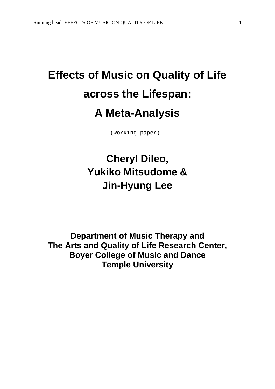# **Effects of Music on Quality of Life across the Lifespan: A Meta-Analysis**

(working paper)

# **Cheryl Dileo, Yukiko Mitsudome & Jin-Hyung Lee**

**Department of Music Therapy and The Arts and Quality of Life Research Center, Boyer College of Music and Dance Temple University**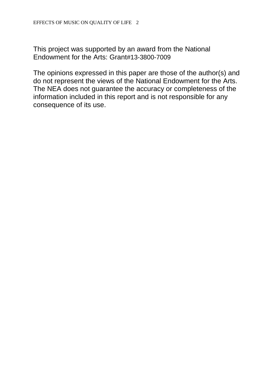This project was supported by an award from the National Endowment for the Arts: Grant#13-3800-7009

The opinions expressed in this paper are those of the author(s) and do not represent the views of the National Endowment for the Arts. The NEA does not guarantee the accuracy or completeness of the information included in this report and is not responsible for any consequence of its use.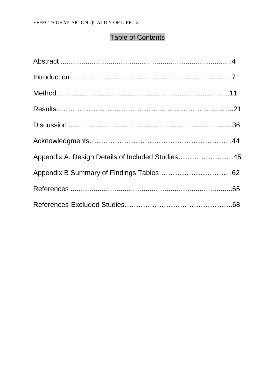## Table of Contents

| Appendix A. Design Details of Included Studies45 |  |
|--------------------------------------------------|--|
|                                                  |  |
|                                                  |  |
|                                                  |  |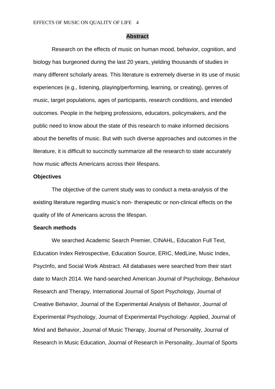#### **Abstract**

Research on the effects of music on human mood, behavior, cognition, and biology has burgeoned during the last 20 years, yielding thousands of studies in many different scholarly areas. This literature is extremely diverse in its use of music experiences (e.g., listening, playing/performing, learning, or creating), genres of music, target populations, ages of participants, research conditions, and intended outcomes. People in the helping professions, educators, policymakers, and the public need to know about the state of this research to make informed decisions about the benefits of music. But with such diverse approaches and outcomes in the literature, it is difficult to succinctly summarize all the research to state accurately how music affects Americans across their lifespans.

#### **Objectives**

The objective of the current study was to conduct a meta-analysis of the existing literature regarding music's non- therapeutic or non-clinical effects on the quality of life of Americans across the lifespan.

#### **Search methods**

We searched Academic Search Premier, CINAHL, Education Full Text, Education Index Retrospective, Education Source, ERIC, MedLine, Music Index, PsycInfo, and Social Work Abstract. All databases were searched from their start date to March 2014. We hand-searched American Journal of Psychology, Behaviour Research and Therapy, International Journal of Sport Psychology, Journal of Creative Behavior, Journal of the Experimental Analysis of Behavior, Journal of Experimental Psychology, Journal of Experimental Psychology: Applied, Journal of Mind and Behavior, Journal of Music Therapy, Journal of Personality, Journal of Research in Music Education, Journal of Research in Personality, Journal of Sports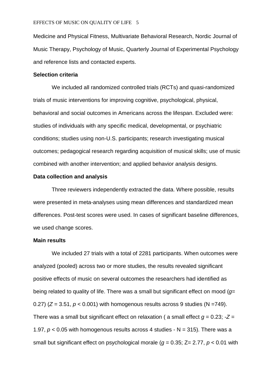Medicine and Physical Fitness, Multivariate Behavioral Research, Nordic Journal of Music Therapy, Psychology of Music, Quarterly Journal of Experimental Psychology and reference lists and contacted experts.

#### **Selection criteria**

We included all randomized controlled trials (RCTs) and quasi-randomized trials of music interventions for improving cognitive, psychological, physical, behavioral and social outcomes in Americans across the lifespan. Excluded were: studies of individuals with any specific medical, developmental, or psychiatric conditions; studies using non-U.S. participants; research investigating musical outcomes; pedagogical research regarding acquisition of musical skills; use of music combined with another intervention; and applied behavior analysis designs.

#### **Data collection and analysis**

Three reviewers independently extracted the data. Where possible, results were presented in meta-analyses using mean differences and standardized mean differences. Post-test scores were used. In cases of significant baseline differences, we used change scores.

#### **Main results**

We included 27 trials with a total of 2281 participants. When outcomes were analyzed (pooled) across two or more studies, the results revealed significant positive effects of music on several outcomes the researchers had identified as being related to quality of life. There was a small but significant effect on mood (*g*= 0.27) ( $Z = 3.51$ ,  $p < 0.001$ ) with homogenous results across 9 studies ( $N = 749$ ). There was a small but significant effect on relaxation ( a small effect  $g = 0.23$ ;  $-Z =$ 1.97,  $p < 0.05$  with homogenous results across 4 studies  $- N = 315$ ). There was a small but significant effect on psychological morale (*g* = 0.35; Z= 2.77, *p* < 0.01 with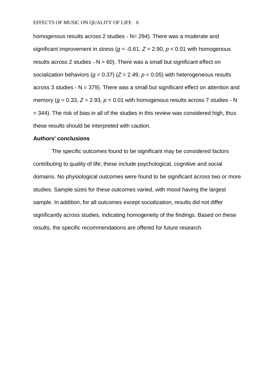homogenous results across 2 studies - N= 294). There was a moderate and significant improvement in stress ( $q = -0.61$ ,  $Z = 2.90$ ,  $p < 0.01$  with homogenous results across 2 studies -  $N = 60$ ). There was a small but significant effect on socialization behaviors ( $q = 0.37$ ) ( $Z = 2.49$ ,  $p < 0.05$ ) with heterogeneous results across 3 studies -  $N = 379$ ). There was a small but significant effect on attention and memory ( $q = 0.33$ ,  $Z = 2.93$ ,  $p < 0.01$  with homogenous results across 7 studies - N = 344). The risk of bias in all of the studies in this review was considered high, thus these results should be interpreted with caution.

#### **Authors' conclusions**

The specific outcomes found to be significant may be considered factors contributing to quality of life; these include psychological, cognitive and social domains. No physiological outcomes were found to be significant across two or more studies. Sample sizes for these outcomes varied, with mood having the largest sample. In addition, for all outcomes except socialization, results did not differ significantly across studies, indicating homogeneity of the findings. Based on these results, the specific recommendations are offered for future research.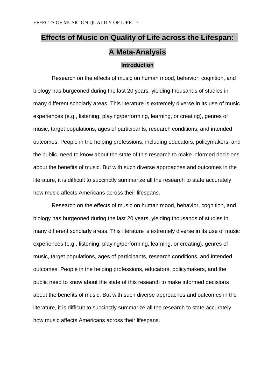# **Effects of Music on Quality of Life across the Lifespan: A Meta-Analysis**

### **Introduction**

Research on the effects of music on human mood, behavior, cognition, and biology has burgeoned during the last 20 years, yielding thousands of studies in many different scholarly areas. This literature is extremely diverse in its use of music experiences (e.g., listening, playing/performing, learning, or creating), genres of music, target populations, ages of participants, research conditions, and intended outcomes. People in the helping professions, including educators, policymakers, and the public, need to know about the state of this research to make informed decisions about the benefits of music. But with such diverse approaches and outcomes in the literature, it is difficult to succinctly summarize all the research to state accurately how music affects Americans across their lifespans.

Research on the effects of music on human mood, behavior, cognition, and biology has burgeoned during the last 20 years, yielding thousands of studies in many different scholarly areas. This literature is extremely diverse in its use of music experiences (e.g., listening, playing/performing, learning, or creating), genres of music, target populations, ages of participants, research conditions, and intended outcomes. People in the helping professions, educators, policymakers, and the public need to know about the state of this research to make informed decisions about the benefits of music. But with such diverse approaches and outcomes in the literature, it is difficult to succinctly summarize all the research to state accurately how music affects Americans across their lifespans.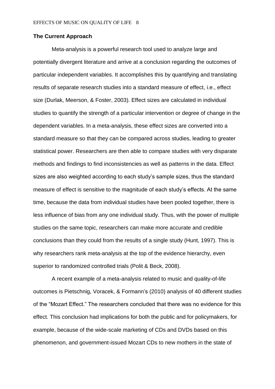#### **The Current Approach**

Meta-analysis is a powerful research tool used to analyze large and potentially divergent literature and arrive at a conclusion regarding the outcomes of particular independent variables. It accomplishes this by quantifying and translating results of separate research studies into a standard measure of effect, i.e., effect size (Durlak, Meerson, & Foster, 2003). Effect sizes are calculated in individual studies to quantify the strength of a particular intervention or degree of change in the dependent variables. In a meta-analysis, these effect sizes are converted into a standard measure so that they can be compared across studies, leading to greater statistical power. Researchers are then able to compare studies with very disparate methods and findings to find inconsistencies as well as patterns in the data. Effect sizes are also weighted according to each study's sample sizes, thus the standard measure of effect is sensitive to the magnitude of each study's effects. At the same time, because the data from individual studies have been pooled together, there is less influence of bias from any one individual study. Thus, with the power of multiple studies on the same topic, researchers can make more accurate and credible conclusions than they could from the results of a single study (Hunt, 1997). This is why researchers rank meta-analysis at the top of the evidence hierarchy, even superior to randomized controlled trials (Polit & Beck, 2008).

A recent example of a meta-analysis related to music and quality-of-life outcomes is Pietschnig, Voracek, & Formann's (2010) analysis of 40 different studies of the "Mozart Effect." The researchers concluded that there was no evidence for this effect. This conclusion had implications for both the public and for policymakers, for example, because of the wide-scale marketing of CDs and DVDs based on this phenomenon, and government-issued Mozart CDs to new mothers in the state of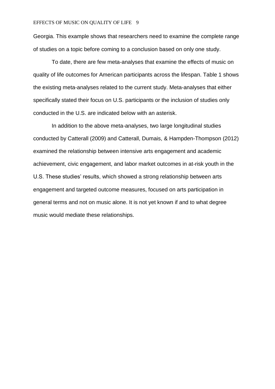#### EFFECTS OF MUSIC ON QUALITY OF LIFE 9

Georgia. This example shows that researchers need to examine the complete range of studies on a topic before coming to a conclusion based on only one study.

To date, there are few meta-analyses that examine the effects of music on quality of life outcomes for American participants across the lifespan. Table 1 shows the existing meta-analyses related to the current study. Meta-analyses that either specifically stated their focus on U.S. participants or the inclusion of studies only conducted in the U.S. are indicated below with an asterisk.

In addition to the above meta-analyses, two large longitudinal studies conducted by Catterall (2009) and Catterall, Dumais, & Hampden-Thompson (2012) examined the relationship between intensive arts engagement and academic achievement, civic engagement, and labor market outcomes in at-risk youth in the U.S. These studies' results, which showed a strong relationship between arts engagement and targeted outcome measures, focused on arts participation in general terms and not on music alone. It is not yet known if and to what degree music would mediate these relationships.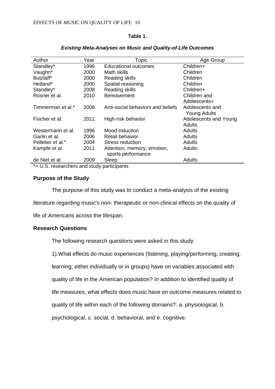#### **Table 1.**

| Author                   | Year | Topic                             | Age Group             |
|--------------------------|------|-----------------------------------|-----------------------|
| Standley*                | 1996 | <b>Educational outcomes</b>       | Children+             |
| Vaughn*                  | 2000 | Math skills                       | Children              |
| Butzlaff*                | 2000 | Reading skills                    | Children              |
| Hetland*                 | 2000 | Spatial reasoning                 | Children              |
| Standley*                | 2008 | Reading skills                    | Children+             |
| Rosner et al.            | 2010 | <b>Bereavement</b>                | Children and          |
|                          |      |                                   | Adolescents+          |
| Timmerman et al.*        | 2008 | Anti-social behaviors and beliefs | Adolescents and       |
|                          |      |                                   | <b>Young Adults</b>   |
| Fischer et al.           | 2011 | High-risk behavior                | Adolescents and Young |
|                          |      |                                   | Adults                |
| Westermann et al.        | 1996 | Mood induction                    | Adults                |
| Garlin et al.            | 2006 | Retail behavior                   | Adults                |
| Pelletier et al.*        | 2004 | Stress reduction                  | Adults                |
| Kampfe et al.            | 2011 | Attention, memory, emotion,       | Adults                |
|                          |      | sports performance                |                       |
| de Niet et al.           | 2009 | Sleep                             | Adults                |
| $\overline{\phantom{a}}$ |      |                                   |                       |

#### *Existing Meta-Analyses on Music and Quality-of-Life Outcomes*

\*= U.S. researchers and study participants

#### **Purpose of the Study**

The purpose of this study was to conduct a meta-analysis of the existing

literature regarding music's non- therapeutic or non-clinical effects on the quality of

life of Americans across the lifespan.

#### **Research Questions**

The following research questions were asked in this study:

1).What effects do music experiences (listening, playing/performing, creating,

learning; either individually or in groups) have on variables associated with

quality of life in the American population? In addition to identified quality of

life measures, what effects does music have on outcome measures related to

quality of life within each of the following domains?: a. physiological, b.

psychological, c. social, d. behavioral, and e. cognitive.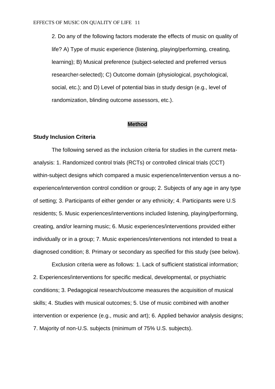2. Do any of the following factors moderate the effects of music on quality of life? A) Type of music experience (listening, playing/performing, creating, learning); B) Musical preference (subject-selected and preferred versus researcher-selected); C) Outcome domain (physiological, psychological, social, etc.); and D) Level of potential bias in study design (e.g., level of randomization, blinding outcome assessors, etc.).

#### **Method**

#### **Study Inclusion Criteria**

The following served as the inclusion criteria for studies in the current metaanalysis: 1. Randomized control trials (RCTs) or controlled clinical trials (CCT) within-subject designs which compared a music experience/intervention versus a noexperience/intervention control condition or group; 2. Subjects of any age in any type of setting; 3. Participants of either gender or any ethnicity; 4. Participants were U.S residents; 5. Music experiences/interventions included listening, playing/performing, creating, and/or learning music; 6. Music experiences/interventions provided either individually or in a group; 7. Music experiences/interventions not intended to treat a diagnosed condition; 8. Primary or secondary as specified for this study (see below).

Exclusion criteria were as follows: 1. Lack of sufficient statistical information; 2. Experiences/interventions for specific medical, developmental, or psychiatric conditions; 3. Pedagogical research/outcome measures the acquisition of musical skills; 4. Studies with musical outcomes; 5. Use of music combined with another intervention or experience (e.g., music and art); 6. Applied behavior analysis designs; 7. Majority of non-U.S. subjects (minimum of 75% U.S. subjects).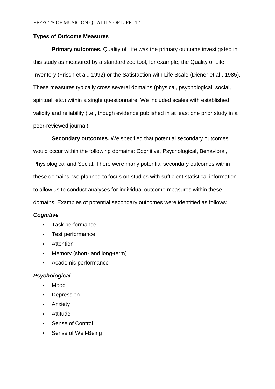#### **Types of Outcome Measures**

**Primary outcomes.** Quality of Life was the primary outcome investigated in this study as measured by a standardized tool, for example, the Quality of Life Inventory (Frisch et al., 1992) or the Satisfaction with Life Scale (Diener et al., 1985). These measures typically cross several domains (physical, psychological, social, spiritual, etc.) within a single questionnaire. We included scales with established validity and reliability (i.e., though evidence published in at least one prior study in a peer-reviewed journal).

**Secondary outcomes.** We specified that potential secondary outcomes would occur within the following domains: Cognitive, Psychological, Behavioral, Physiological and Social. There were many potential secondary outcomes within these domains; we planned to focus on studies with sufficient statistical information to allow us to conduct analyses for individual outcome measures within these domains. Examples of potential secondary outcomes were identified as follows:

#### *Cognitive*

- Task performance
- Test performance
- Attention
- Memory (short- and long-term)
- Academic performance

#### *Psychological*

- Mood
- Depression
- Anxiety
- Attitude
- Sense of Control
- Sense of Well-Being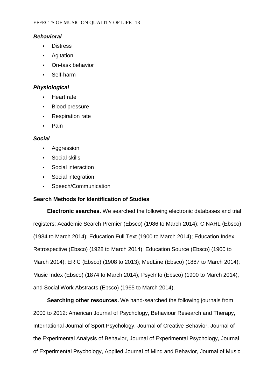## *Behavioral*

- Distress
- Agitation
- On-task behavior
- Self-harm

## *Physiological*

- Heart rate
- Blood pressure
- Respiration rate
- Pain

## *Social*

- Aggression
- Social skills
- Social interaction
- Social integration
- Speech/Communication

## **Search Methods for Identification of Studies**

**Electronic searches.** We searched the following electronic databases and trial registers: Academic Search Premier (Ebsco) (1986 to March 2014); CINAHL (Ebsco) (1984 to March 2014); Education Full Text (1900 to March 2014); Education Index Retrospective (Ebsco) (1928 to March 2014); Education Source (Ebsco) (1900 to March 2014); ERIC (Ebsco) (1908 to 2013); MedLine (Ebsco) (1887 to March 2014); Music Index (Ebsco) (1874 to March 2014); PsycInfo (Ebsco) (1900 to March 2014); and Social Work Abstracts (Ebsco) (1965 to March 2014).

**Searching other resources.** We hand-searched the following journals from 2000 to 2012: American Journal of Psychology, Behaviour Research and Therapy, International Journal of Sport Psychology, Journal of Creative Behavior, Journal of the Experimental Analysis of Behavior, Journal of Experimental Psychology, Journal of Experimental Psychology, Applied Journal of Mind and Behavior, Journal of Music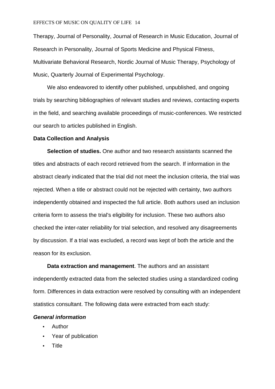#### EFFECTS OF MUSIC ON QUALITY OF LIFE 14

Therapy, Journal of Personality, Journal of Research in Music Education, Journal of Research in Personality, Journal of Sports Medicine and Physical Fitness, Multivariate Behavioral Research, Nordic Journal of Music Therapy, Psychology of Music, Quarterly Journal of Experimental Psychology.

We also endeavored to identify other published, unpublished, and ongoing trials by searching bibliographies of relevant studies and reviews, contacting experts in the field, and searching available proceedings of music-conferences. We restricted our search to articles published in English.

#### **Data Collection and Analysis**

**Selection of studies.** One author and two research assistants scanned the titles and abstracts of each record retrieved from the search. If information in the abstract clearly indicated that the trial did not meet the inclusion criteria, the trial was rejected. When a title or abstract could not be rejected with certainty, two authors independently obtained and inspected the full article. Both authors used an inclusion criteria form to assess the trial's eligibility for inclusion. These two authors also checked the inter-rater reliability for trial selection, and resolved any disagreements by discussion. If a trial was excluded, a record was kept of both the article and the reason for its exclusion.

**Data extraction and management**. The authors and an assistant independently extracted data from the selected studies using a standardized coding form. Differences in data extraction were resolved by consulting with an independent statistics consultant. The following data were extracted from each study:

#### *General information*

- Author
- Year of publication
- **Title**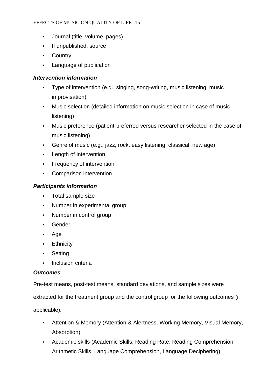- Journal (title, volume, pages)
- If unpublished, source
- Country
- Language of publication

## *Intervention information*

- Type of intervention (e.g., singing, song-writing, music listening, music improvisation)
- Music selection (detailed information on music selection in case of music listening)
- Music preference (patient-preferred versus researcher selected in the case of music listening)
- Genre of music (e.g., jazz, rock, easy listening, classical, new age)
- Length of intervention
- Frequency of intervention
- Comparison intervention

## *Participants information*

- Total sample size
- Number in experimental group
- Number in control group
- Gender
- Age
- **Ethnicity**
- **Setting**
- Inclusion criteria

## *Outcomes*

Pre-test means, post-test means, standard deviations, and sample sizes were

extracted for the treatment group and the control group for the following outcomes (if

applicable).

- Attention & Memory (Attention & Alertness, Working Memory, Visual Memory, Absorption)
- Academic skills (Academic Skills, Reading Rate, Reading Comprehension, Arithmetic Skills, Language Comprehension, Language Deciphering)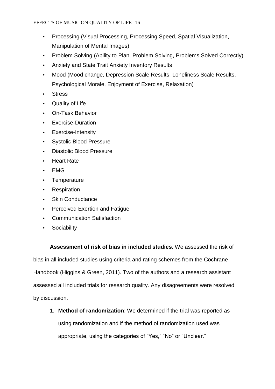- Processing (Visual Processing, Processing Speed, Spatial Visualization, Manipulation of Mental Images)
- Problem Solving (Ability to Plan, Problem Solving, Problems Solved Correctly)
- Anxiety and State Trait Anxiety Inventory Results
- Mood (Mood change, Depression Scale Results, Loneliness Scale Results, Psychological Morale, Enjoyment of Exercise, Relaxation)
- Stress
- Quality of Life
- On-Task Behavior
- Exercise-Duration
- Exercise-Intensity
- Systolic Blood Pressure
- Diastolic Blood Pressure
- Heart Rate
- EMG
- Temperature
- Respiration
- Skin Conductance
- Perceived Exertion and Fatigue
- Communication Satisfaction
- Sociability

**Assessment of risk of bias in included studies.** We assessed the risk of bias in all included studies using criteria and rating schemes from the Cochrane Handbook (Higgins & Green, 2011). Two of the authors and a research assistant assessed all included trials for research quality. Any disagreements were resolved by discussion.

1. **Method of randomization**: We determined if the trial was reported as using randomization and if the method of randomization used was appropriate, using the categories of "Yes," "No" or "Unclear."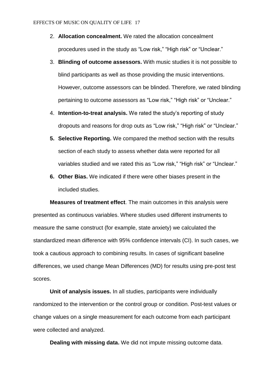- 2. **Allocation concealment.** We rated the allocation concealment procedures used in the study as "Low risk," "High risk" or "Unclear."
- 3. **Blinding of outcome assessors.** With music studies it is not possible to blind participants as well as those providing the music interventions. However, outcome assessors can be blinded. Therefore, we rated blinding pertaining to outcome assessors as "Low risk," "High risk" or "Unclear."
- 4. **Intention-to-treat analysis.** We rated the study's reporting of study dropouts and reasons for drop outs as "Low risk," "High risk" or "Unclear."
- **5. Selective Reporting.** We compared the method section with the results section of each study to assess whether data were reported for all variables studied and we rated this as "Low risk," "High risk" or "Unclear."
- **6. Other Bias.** We indicated if there were other biases present in the included studies.

**Measures of treatment effect**. The main outcomes in this analysis were presented as continuous variables. Where studies used different instruments to measure the same construct (for example, state anxiety) we calculated the standardized mean difference with 95% confidence intervals (CI). In such cases, we took a cautious approach to combining results. In cases of significant baseline differences, we used change Mean Differences (MD) for results using pre-post test scores.

**Unit of analysis issues.** In all studies, participants were individually randomized to the intervention or the control group or condition. Post-test values or change values on a single measurement for each outcome from each participant were collected and analyzed.

**Dealing with missing data.** We did not impute missing outcome data.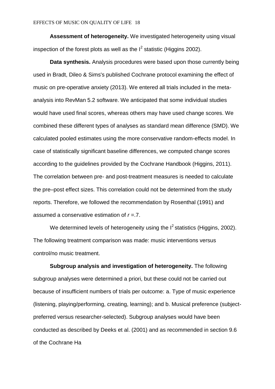**Assessment of heterogeneity.** We investigated heterogeneity using visual inspection of the forest plots as well as the  $I^2$  statistic (Higgins 2002).

**Data synthesis.** Analysis procedures were based upon those currently being used in Bradt, Dileo & Sims's published Cochrane protocol examining the effect of music on pre-operative anxiety (2013). We entered all trials included in the metaanalysis into RevMan 5.2 software. We anticipated that some individual studies would have used final scores, whereas others may have used change scores. We combined these different types of analyses as standard mean difference (SMD). We calculated pooled estimates using the more conservative random-effects model. In case of statistically significant baseline differences, we computed change scores according to the guidelines provided by the Cochrane Handbook (Higgins, 2011). The correlation between pre- and post-treatment measures is needed to calculate the pre–post effect sizes. This correlation could not be determined from the study reports. Therefore, we followed the recommendation by Rosenthal (1991) and assumed a conservative estimation of *r* =.7.

We determined levels of heterogeneity using the  $I^2$  statistics (Higgins, 2002). The following treatment comparison was made: music interventions versus control/no music treatment.

**Subgroup analysis and investigation of heterogeneity.** The following subgroup analyses were determined a priori, but these could not be carried out because of insufficient numbers of trials per outcome: a. Type of music experience (listening, playing/performing, creating, learning); and b. Musical preference (subjectpreferred versus researcher-selected). Subgroup analyses would have been conducted as described by Deeks et al. (2001) and as recommended in section 9.6 of the Cochrane Ha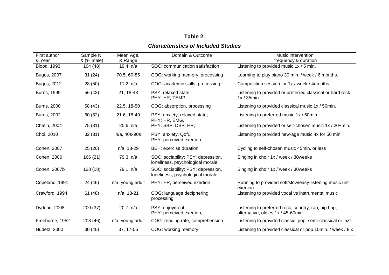## **Table 2.** *Characteristics of Included Studies*

| First author<br>& Year | Sample N,<br>& (% male) | Mean Age,<br>& Range | Domain & Outcome                                                       | Music intervention:<br>frequency & duration                                               |
|------------------------|-------------------------|----------------------|------------------------------------------------------------------------|-------------------------------------------------------------------------------------------|
| <b>Blood, 1993</b>     | 104 (48)                | 19.4, n/a            | SOC: communication satisfaction                                        | Listening to provided music 1x / 5 min.                                                   |
| Bugos, 2007            | 31(24)                  | 70.5, 60-85          | COG: working memory, processing                                        | Learning to play piano 30 min. / week / 6 months.                                         |
| Bugos, 2012            | 28 (50)                 | 11.2, $n/a$          | COG: academic skills, processing                                       | Composition session for 1x / week / 4months                                               |
| <b>Burns, 1999</b>     | 56 (43)                 | 21, 18-43            | PSY: relaxed state;<br>PHY: HR, TEMP                                   | Listening to provided or preferred classical or hard rock<br>$1x/35min$ .                 |
| <b>Burns, 2000</b>     | 58 (43)                 | 22.5, 18-50          | COG: absorption, processing                                            | Listening to provided classical music 1x / 50min.                                         |
| <b>Burns, 2002</b>     | 60 (52)                 | 21.6, 18-49          | PSY: anxiety, relaxed state;<br>PHY: HR, EMG,                          | Listening to preferred music 1x / 60min.                                                  |
| Chafin, 2004           | 75 (31)                 | 20.6, n/a            | PHY: SBP, DBP, HR,                                                     | Listening to provided or self-chosen music 1x / 20+min.                                   |
| Choi, 2010             | 32(31)                  | n/a, 40s-90s         | PSY: anxiety, QofL;<br>PHY: perceived exertion                         | Listening to provided new-age music 4x for 50 min.                                        |
| Cohen, 2007            | 25(20)                  | n/a, 18-29           | BEH: exercise duration,                                                | Cycling to self-chosen music 45min. or less                                               |
| Cohen, 2006            | 166 (21)                | 79.3, n/a            | SOC: sociability; PSY: depression,<br>loneliness, psychological morale | Singing in choir 1x / week / 30weeks                                                      |
| Cohen, 2007b           | 128(18)                 | 79.1, n/a            | SOC: sociability; PSY: depression,<br>loneliness, psychological morale | Singing in choir 1x / week / 30weeks                                                      |
| Copeland, 1991         | 24 (46)                 | n/a, young adult     | PHY: HR, perceived exertion                                            | Running to provided soft/slow/easy-listening music until<br>exertion                      |
| Crawford, 1994         | 61(48)                  | n/a, 18-21           | COG: language deciphering,<br>processing                               | Listening to provided vocal vs instrumental music                                         |
| Dyrlund, 2008          | 200 (37)                | 20.7, n/a            | PSY: enjoyment;<br>PHY: perceived exertion,                            | Listening to preferred rock, country, rap, hip hop,<br>alternative, oldies 1x / 45-60min. |
| Freeburne, 1952        | 208 (46)                | n/a, young adult     | COG: reading rate, comprehension                                       | Listening to provided classic, pop, semi-classical or jazz.                               |
| Hudetz, 2000           | 30(40)                  | 37, 17-56            | COG: working memory                                                    | Listening to provided classical or pop 10min. / week / 8 x                                |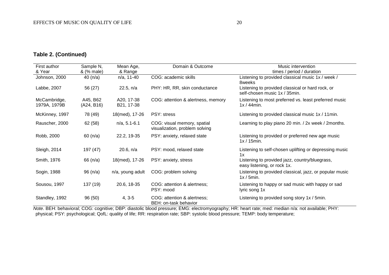## **Table 2. (Continued)**

| First author                 | Sample N,              | Mean Age,                | Domain & Outcome                                              | Music intervention                                                                |
|------------------------------|------------------------|--------------------------|---------------------------------------------------------------|-----------------------------------------------------------------------------------|
| & Year                       | & (% male)             | & Range                  |                                                               | times / period / duration                                                         |
| Johnson, 2000                | 40 $(n/a)$             | n/a, 11-40               | COG: academic skills                                          | Listening to provided classical music 1x / week /<br>8weeks                       |
| Labbe, 2007                  | 56 (27)                | 22.5, n/a                | PHY: HR, RR, skin conductance                                 | Listening to provided classical or hard rock, or<br>self-chosen music 1x / 35min. |
| McCambridge,<br>1979A, 1979B | A45, B62<br>(A24, B16) | A20, 17-38<br>B21, 17-38 | COG: attention & alertness, memory                            | Listening to most preferred vs. least preferred music<br>$1x/44$ min.             |
| McKinney, 1997               | 78 (49)                | 18(med), 17-26           | PSY: stress                                                   | Listening to provided classical music 1x / 11min.                                 |
| Rauscher, 2000               | 62 (58)                | $n/a$ , 5.1-6.1          | COG: visual memory, spatial<br>visualization, problem solving | Learning to play piano 20 min. / 2x week / 2months.                               |
| Robb, 2000                   | 60 (n/a)               | 22.2, 19-35              | PSY: anxiety, relaxed state                                   | Listening to provided or preferred new age music<br>$1x / 15min$ .                |
| Sleigh, 2014                 | 197 (47)               | 20.6, n/a                | PSY: mood, relaxed state                                      | Listening to self-chosen uplifting or depressing music<br>1x                      |
| Smith, 1976                  | 66 (n/a)               | 18(med), 17-26           | PSY: anxiety, stress                                          | Listening to provided jazz, country/bluegrass,<br>easy listening, or rock 1x.     |
| Sogin, 1988                  | 96 (n/a)               | n/a, young adult         | COG: problem solving                                          | Listening to provided classical, jazz, or popular music<br>$1x / 5min$ .          |
| Sousou, 1997                 | 137 (19)               | 20.6, 18-35              | COG: attention & alertness;<br>PSY: mood                      | Listening to happy or sad music with happy or sad<br>lyric song 1x                |
| Standley, 1992               | 96 (50)                | $4, 3-5$                 | COG: attention & alertness;<br>BEH: on-task behavior          | Listening to provided song story 1x / 5min.                                       |

*Note*. BEH: behavioral; COG: cognitive; DBP: diastolic blood pressure; EMG: electromyography; HR: heart rate; med: median n/a: not available; PHY: physical; PSY: psychological; QofL: quality of life; RR: respiration rate; SBP: systolic blood pressure; TEMP: body temperature;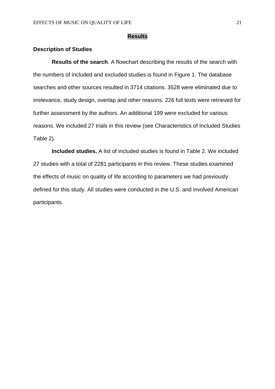#### **Results**

#### **Description of Studies**

**Results of the search**. A flowchart describing the results of the search with the numbers of included and excluded studies is found in Figure 1. The database searches and other sources resulted in 3714 citations. 3528 were eliminated due to irrelevance, study design, overlap and other reasons. 226 full texts were retrieved for further assessment by the authors. An additional 199 were excluded for various reasons. We included 27 trials in this review (see Characteristics of Included Studies Table 2).

**Included studies.** A list of included studies is found in Table 2. We included 27 studies with a total of 2281 participants in this review. These studies examined the effects of music on quality of life according to parameters we had previously defined for this study. All studies were conducted in the U.S. and involved American participants.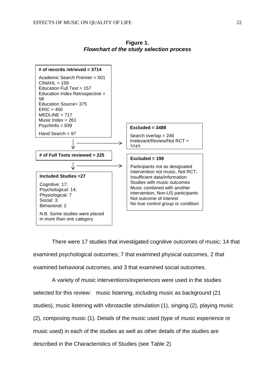

**Figure 1.** *Flowchart of the study selection process*

There were 17 studies that investigated cognitive outcomes of music; 14 that examined psychological outcomes; 7 that examined physical outcomes, 2 that examined behavioral outcomes, and 3 that examined social outcomes.

A variety of music interventions/experiences were used in the studies selected for this review: music listening, including music as background (21 studies), music listening with vibrotactile stimulation (1), singing (2), playing music (2), composing music (1). Details of the music used (type of music experience or music used) in each of the studies as well as other details of the studies are described in the Characteristics of Studies (see Table 2)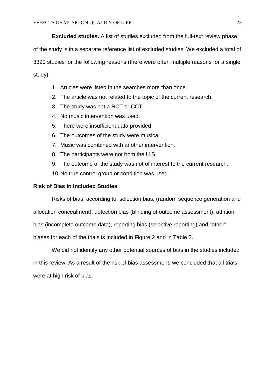**Excluded studies.** A list of studies excluded from the full-text review phase of the study is in a separate reference list of excluded studies. We excluded a total of 3390 studies for the following reasons (there were often multiple reasons for a single study):

- 1. Articles were listed in the searches more than once.
- 2. The article was not related to the topic of the current research.
- 3. The study was not a RCT or CCT.
- 4. No music intervention was used.
- 5. There were insufficient data provided.
- 6. The outcomes of the study were musical.
- 7. Music was combined with another intervention.
- 8. The participants were not from the U.S.
- 9. The outcome of the study was not of interest to the current research.
- 10.No true control group or condition was used.

### **Risk of Bias in Included Studies**

Risks of bias, according to: selection bias, (random sequence generation and

allocation concealment), detection bias (blinding of outcome assessment), attrition

bias (incomplete outcome data), reporting bias (selective reporting) and "other"

biases for each of the trials is included in Figure 2 and in Table 3.

We did not identify any other potential sources of bias in the studies included in this review. As a result of the risk of bias assessment, we concluded that all trials were at high risk of bias.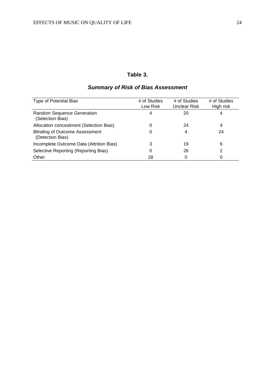## **Table 3.**

## *Summary of Risk of Bias Assessment*

| Type of Potential Bias                                    | # of Studies<br>Low Risk | # of Studies<br>Unclear Risk | # of Studies<br>High risk |
|-----------------------------------------------------------|--------------------------|------------------------------|---------------------------|
| Random Sequence Generation<br>(Selection Bias)            | 4                        | 20                           | 4                         |
| Allocation concealment (Selection Bias)                   | 0                        | 24                           | 4                         |
| <b>Blinding of Outcome Assessment</b><br>(Detection Bias) | 0                        | 4                            | 24                        |
| Incomplete Outcome Data (Attrition Bias)                  | 3                        | 19                           | 6                         |
| Selective Reporting (Reporting Bias)                      | 0                        | 26                           | 2                         |
| Other                                                     | 28                       |                              | 0                         |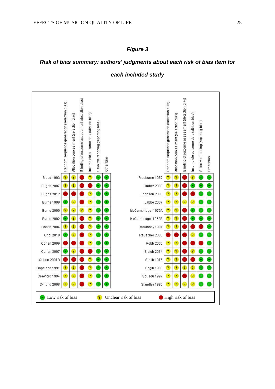#### *Figure 3*

### *Risk of bias summary: authors' judgments about each risk of bias item for*

#### *each included study*

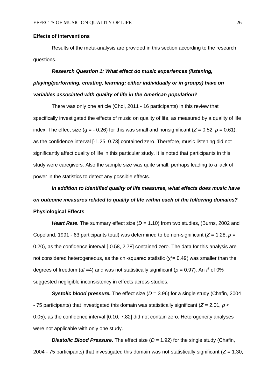#### **Effects of Interventions**

Results of the meta-analysis are provided in this section according to the research questions.

## *Research Question 1: What effect do music experiences (listening, playing/performing, creating, learning; either individually or in groups) have on variables associated with quality of life in the American population?*

There was only one article (Choi, 2011 - 16 participants) in this review that specifically investigated the effects of music on quality of life, as measured by a quality of life index. The effect size ( $q = -0.26$ ) for this was small and nonsignificant ( $Z = 0.52$ ,  $p = 0.61$ ), as the confidence interval [-1.25, 0.73] contained zero. Therefore, music listening did not significantly affect quality of life in this particular study. It is noted that participants in this study were caregivers. Also the sample size was quite small, perhaps leading to a lack of power in the statistics to detect any possible effects.

## *In addition to identified quality of life measures, what effects does music have on outcome measures related to quality of life within each of the following domains?* **Physiological Effects**

*Heart Rate***.** The summary effect size (*D* = 1.10) from two studies, (Burns, 2002 and Copeland, 1991 - 63 participants total) was determined to be non-significant (*Z* = 1.28, *p* = 0.20), as the confidence interval [-0.58, 2.78] contained zero. The data for this analysis are not considered heterogeneous, as the chi-squared statistic ( $\chi^2$ = 0.49) was smaller than the degrees of freedom (*df* =4) and was not statistically significant ( $p = 0.97$ ). An  $\hat{r}$  of 0% suggested negligible inconsistency in effects across studies.

**Systolic blood pressure.** The effect size ( $D = 3.96$ ) for a single study (Chafin, 2004 - 75 participants) that investigated this domain was statistically significant ( $Z = 2.01$ ,  $p <$ 0.05), as the confidence interval [0.10, 7.82] did not contain zero. Heterogeneity analyses were not applicable with only one study.

*Diastolic Blood Pressure.* The effect size (*D* = 1.92) for the single study (Chafin, 2004 - 75 participants) that investigated this domain was not statistically significant (*Z* = 1.30,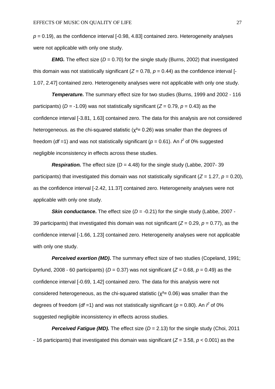$p = 0.19$ ), as the confidence interval  $[-0.98, 4.83]$  contained zero. Heterogeneity analyses were not applicable with only one study.

*EMG.* The effect size ( $D = 0.70$ ) for the single study (Burns, 2002) that investigated this domain was not statistically significant  $(Z = 0.78, p = 0.44)$  as the confidence interval [-1.07, 2.47] contained zero. Heterogeneity analyses were not applicable with only one study.

*Temperature.* The summary effect size for two studies (Burns, 1999 and 2002 - 116 participants) ( $D = -1.09$ ) was not statistically significant ( $Z = 0.79$ ,  $p = 0.43$ ) as the confidence interval [-3.81, 1.63] contained zero. The data for this analysis are not considered heterogeneous. as the chi-squared statistic ( $\chi^2$ = 0.26) was smaller than the degrees of freedom (*df* =1) and was not statistically significant ( $p = 0.61$ ). An  $\hat{f}$  of 0% suggested negligible inconsistency in effects across these studies.

*Respiration.* The effect size (*D* = 4.48) for the single study (Labbe, 2007- 39 participants) that investigated this domain was not statistically significant ( $Z = 1.27$ ,  $p = 0.20$ ), as the confidence interval [-2.42, 11.37] contained zero. Heterogeneity analyses were not applicable with only one study.

**Skin conductance.** The effect size (D = -0.21) for the single study (Labbe, 2007 -39 participants) that investigated this domain was not significant (*Z* = 0.29, *p* = 0.77), as the confidence interval [-1.66, 1.23] contained zero. Heterogeneity analyses were not applicable with only one study.

**Perceived exertion (MD).** The summary effect size of two studies (Copeland, 1991; Dyrlund, 2008 - 60 participants) ( $D = 0.37$ ) was not significant ( $Z = 0.68$ ,  $p = 0.49$ ) as the confidence interval [-0.69, 1.42] contained zero. The data for this analysis were not considered heterogeneous, as the chi-squared statistic ( $\chi^2$ = 0.06) was smaller than the degrees of freedom (*df* =1) and was not statistically significant ( $p = 0.80$ ). An  $\hat{f}$  of 0% suggested negligible inconsistency in effects across studies.

*Perceived Fatigue (MD).* The effect size (*D* = 2.13) for the single study (Choi, 2011 - 16 participants) that investigated this domain was significant (*Z* = 3.58, *p <* 0.001) as the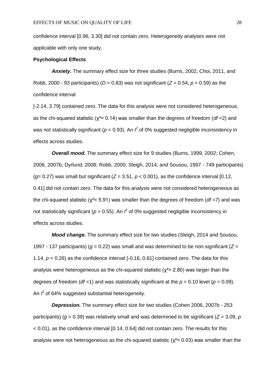confidence interval [0.96, 3.30] did not contain zero. Heterogeneity analyses were not applicable with only one study.

#### **Psychological Effects**

*Anxiety.* The summary effect size for three studies (Burns, 2002, Choi, 2011, and Robb, 2000 - 93 participants) ( $D = 0.83$ ) was not significant ( $Z = 0.54$ ,  $p = 0.59$ ) as the confidence interval

[-2.14, 3.79] contained zero. The data for this analysis were not considered heterogeneous, as the chi-squared statistic (χ²= 0.14) was smaller than the degrees of freedom (*df* =2) and was not statistically significant ( $p = 0.93$ ). An  $l^2$  of 0% suggested negligible inconsistency in effects across studies.

*Overall mood.* The summary effect size for 9 studies (Burns, 1999, 2002; Cohen, 2006, 2007b; Dyrlund, 2008; Robb, 2000; Sleigh, 2014; and Sousou, 1997 - 749 participants) ( $q= 0.27$ ) was small but significant ( $Z = 3.51$ ,  $p < 0.001$ ), as the confidence interval [0.12, 0.41] did not contain zero. The data for this analysis were not considered heterogeneous as the chi-squared statistic (χ²= 5.91) was smaller than the degrees of freedom (*df* =7) and was not statistically significant ( $p = 0.55$ ). An  $\hat{r}$  of 0% suggested negligible inconsistency in effects across studies.

*Mood change.* The summary effect size for two studies (Sleigh, 2014 and Sousou, 1997 - 137 participants) ( $g = 0.22$ ) was small and was determined to be non-significant ( $Z =$ 1.14,  $p = 0.26$ ) as the confidence interval  $[-0.16, 0.61]$  contained zero. The data for this analysis were heterogeneous as the chi-squared statistic ( $\chi^2$ = 2.80) was larger than the degrees of freedom ( $df = 1$ ) and was statistically significant at the  $p = 0.10$  level ( $p = 0.09$ ). An  $f^2$  of 64% suggested substantial heterogeneity.

*Depression.* The summary effect size for two studies (Cohen 2006, 2007b - 253 participants) (*g* = 0.39) was relatively small and was determined to be significant (*Z* = 3.09, *p* < 0.01), as the confidence interval [0.14, 0.64] did not contain zero. The results for this analysis were not heterogeneous as the chi-squared statistic ( $\chi^2$ = 0.03) was smaller than the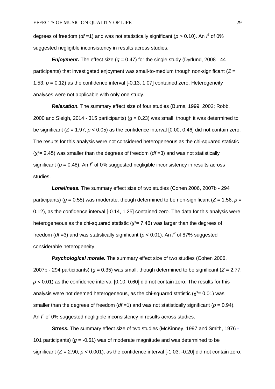degrees of freedom (*df* =1) and was not statistically significant ( $p > 0.10$ ). An  $\hat{r}$  of 0% suggested negligible inconsistency in results across studies.

**Enjoyment.** The effect size ( $q = 0.47$ ) for the single study (Dyrlund, 2008 - 44 participants) that investigated enjoyment was small-to-medium though non-significant (*Z* = 1.53, *p* = 0.12) as the confidence interval [-0.13, 1.07] contained zero. Heterogeneity analyses were not applicable with only one study.

*Relaxation.* The summary effect size of four studies (Burns, 1999, 2002; Robb, 2000 and Sleigh, 2014 - 315 participants) ( $q = 0.23$ ) was small, though it was determined to be significant (*Z* = 1.97, *p* < 0.05) as the confidence interval [0.00, 0.46] did not contain zero. The results for this analysis were not considered heterogeneous as the chi-squared statistic (χ²= 2.45) was smaller than the degrees of freedom (*df* =3) and was not statistically significant ( $p = 0.48$ ). An  $\ell$  of 0% suggested negligible inconsistency in results across studies.

*Loneliness.* The summary effect size of two studies (Cohen 2006, 2007b - 294 participants) ( $q = 0.55$ ) was moderate, though determined to be non-significant ( $Z = 1.56$ ,  $p =$ 0.12), as the confidence interval [-0.14, 1.25] contained zero. The data for this analysis were heterogeneous as the chi-squared statistic ( $\chi^2$ = 7.46) was larger than the degrees of freedom (*df* =3) and was statistically significant ( $p$  < 0.01). An  $\hat{f}$  of 87% suggested considerable heterogeneity.

*Psychological morale.* The summary effect size of two studies (Cohen 2006, 2007b - 294 participants) (*g* = 0.35) was small, though determined to be significant (*Z* = 2.77, *p* < 0.01) as the confidence interval [0.10, 0.60] did not contain zero. The results for this analysis were not deemed heterogeneous, as the chi-squared statistic ( $\chi^2$ = 0.01) was smaller than the degrees of freedom (*df* = 1) and was not statistically significant ( $p = 0.94$ ). An  $\beta$  of 0% suggested negligible inconsistency in results across studies.

*Stress.* The summary effect size of two studies (McKinney, 1997 and Smith, 1976 - 101 participants) (*g* = -0.61) was of moderate magnitude and was determined to be significant ( $Z = 2.90$ ,  $p < 0.001$ ), as the confidence interval [-1.03, -0.20] did not contain zero.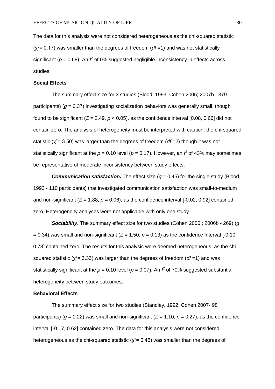The data for this analysis were not considered heterogeneous as the chi-squared statistic (χ²= 0.17) was smaller than the degrees of freedom (*df* =1) and was not statistically significant ( $p = 0.68$ ). An  $\ell$  of 0% suggested negligible inconsistency in effects across studies.

#### **Social Effects**

The summary effect size for 3 studies (Blood, 1993, Cohen 2006; 2007b - 379 participants) (*g* = 0.37) investigating socialization behaviors was generally small, though found to be significant  $(Z = 2.49, p < 0.05)$ , as the confidence interval [0.08, 0.66] did not contain zero. The analysis of heterogeneity must be interpreted with caution: the chi-squared statistic (χ²= 3.50) was larger than the degrees of freedom (*df* =2) though it was not statistically significant at the  $p = 0.10$  level ( $p = 0.17$ ). However, an  $l^2$  of 43% may sometimes be representative of moderate inconsistency between study effects.

**Communication satisfaction.** The effect size  $(q = 0.45)$  for the single study (Blood, 1993 - 110 participants) that investigated communication satisfaction was small-to-medium and non-significant  $(Z = 1.88, p = 0.06)$ , as the confidence interval  $[-0.02, 0.92]$  contained zero. Heterogeneity analyses were not applicable with only one study.

*Sociability***.** The summary effect size for two studies (Cohen 2006 ; 2006b - 269) (*g*  $= 0.34$ ) was small and non-significant ( $Z = 1.50$ ,  $p = 0.13$ ) as the confidence interval [-0.10, 0.78] contained zero. The results for this analysis were deemed heterogeneous, as the chisquared statistic (χ²= 3.33) was larger than the degrees of freedom (*df* =1) and was statistically significant at the  $p = 0.10$  level ( $p = 0.07$ ). An  $\beta$  of 70% suggested substantial heterogeneity between study outcomes.

#### **Behavioral Effects**

The summary effect size for two studies (Standley, 1992; Cohen 2007- 98 participants) ( $q = 0.22$ ) was small and non-significant ( $Z = 1.10$ ,  $p = 0.27$ ), as the confidence interval [-0.17, 0.62] contained zero. The data for this analysis were not considered heterogeneous as the chi-squared statistic ( $\chi^2$ = 0.46) was smaller than the degrees of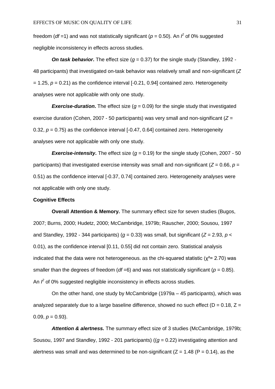freedom (*df* =1) and was not statistically significant ( $p = 0.50$ ). An  $\hat{r}$  of 0% suggested negligible inconsistency in effects across studies.

**On task behavior.** The effect size  $(q = 0.37)$  for the single study (Standley, 1992 -48 participants) that investigated on-task behavior was relatively small and non-significant (*Z*  $= 1.25$ ,  $p = 0.21$ ) as the confidence interval [-0.21, 0.94] contained zero. Heterogeneity analyses were not applicable with only one study.

*Exercise-duration.* The effect size  $(g = 0.09)$  for the single study that investigated exercise duration (Cohen, 2007 - 50 participants) was very small and non-significant (*Z* = 0.32,  $p = 0.75$ ) as the confidence interval  $[-0.47, 0.64]$  contained zero. Heterogeneity analyses were not applicable with only one study.

**Exercise-intensity.** The effect size  $(g = 0.19)$  for the single study (Cohen, 2007 - 50 participants) that investigated exercise intensity was small and non-significant ( $Z = 0.66$ ,  $p =$ 0.51) as the confidence interval [-0.37, 0.74] contained zero. Heterogeneity analyses were not applicable with only one study.

#### **Cognitive Effects**

**Overall Attention & Memory.** The summary effect size for seven studies (Bugos, 2007; Burns, 2000; Hudetz, 2000; McCambridge, 1979b; Rauscher, 2000; Sousou, 1997 and Standley, 1992 - 344 participants) ( $q = 0.33$ ) was small, but significant ( $Z = 2.93$ ,  $p <$ 0.01), as the confidence interval [0.11, 0.55] did not contain zero. Statistical analysis indicated that the data were not heterogeneous. as the chi-squared statistic ( $\chi^2$ = 2.70) was smaller than the degrees of freedom (*df* =6) and was not statistically significant (*p* = 0.85). An  $\hat{I}$  of 0% suggested negligible inconsistency in effects across studies.

On the other hand, one study by McCambridge (1979a – 45 participants), which was analyzed separately due to a large baseline difference, showed no such effect ( $D = 0.18$ ,  $Z =$ 0.09,  $p = 0.93$ ).

*Attention & alertness.* The summary effect size of 3 studies (McCambridge, 1979b; Sousou, 1997 and Standley, 1992 - 201 participants) ((*g* = 0.22) investigating attention and alertness was small and was determined to be non-significant ( $Z = 1.48$  ( $P = 0.14$ ), as the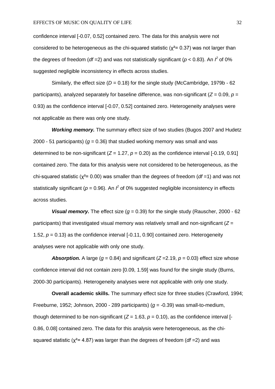confidence interval [-0.07, 0.52] contained zero. The data for this analysis were not considered to be heterogeneous as the chi-squared statistic ( $\chi^2$ = 0.37) was not larger than the degrees of freedom (*df* = 2) and was not statistically significant ( $p$  < 0.83). An  $\hat{r}$  of 0% suggested negligible inconsistency in effects across studies.

Similarly, the effect size  $(D = 0.18)$  for the single study (McCambridge, 1979b - 62) participants), analyzed separately for baseline difference, was non-significant ( $Z = 0.09$ ,  $p =$ 0.93) as the confidence interval [-0.07, 0.52] contained zero. Heterogeneity analyses were not applicable as there was only one study.

*Working memory.* The summary effect size of two studies (Bugos 2007 and Hudetz 2000 - 51 participants) (*g* = 0.36) that studied working memory was small and was determined to be non-significant  $(Z = 1.27, p = 0.20)$  as the confidence interval  $[-0.19, 0.91]$ contained zero. The data for this analysis were not considered to be heterogeneous, as the chi-squared statistic (χ²= 0.00) was smaller than the degrees of freedom (*df* =1) and was not statistically significant ( $p = 0.96$ ). An  $\hat{r}$  of 0% suggested negligible inconsistency in effects across studies.

**Visual memory.** The effect size  $(g = 0.39)$  for the single study (Rauscher, 2000 - 62 participants) that investigated visual memory was relatively small and non-significant (*Z* = 1.52,  $p = 0.13$ ) as the confidence interval  $[-0.11, 0.90]$  contained zero. Heterogeneity analyses were not applicable with only one study.

**Absorption.** A large ( $g = 0.84$ ) and significant ( $Z = 2.19$ ,  $p = 0.03$ ) effect size whose confidence interval did not contain zero [0.09, 1.59] was found for the single study (Burns, 2000-30 participants). Heterogeneity analyses were not applicable with only one study.

**Overall academic skills.** The summary effect size for three studies (Crawford, 1994; Freeburne, 1952; Johnson, 2000 - 289 participants) (*g* = -0.39) was small-to-medium, though determined to be non-significant  $(Z = 1.63, p = 0.10)$ , as the confidence interval [-0.86, 0.08] contained zero. The data for this analysis were heterogeneous, as the chisquared statistic (χ²= 4.87) was larger than the degrees of freedom (*df* =2) and was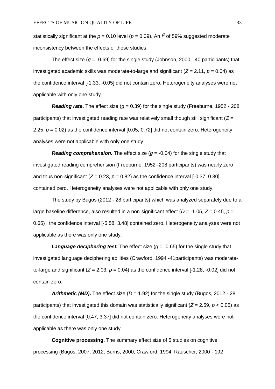statistically significant at the  $p = 0.10$  level ( $p = 0.09$ ). An  $\ell$  of 59% suggested moderate inconsistency between the effects of these studies.

The effect size ( $q = -0.69$ ) for the single study (Johnson, 2000 - 40 participants) that investigated academic skills was moderate-to-large and significant ( $Z = 2.11$ ,  $p = 0.04$ ) as the confidence interval [-1.33, -0.05] did not contain zero. Heterogeneity analyses were not applicable with only one study.

**Reading rate.** The effect size  $(q = 0.39)$  for the single study (Freeburne, 1952 - 208 participants) that investigated reading rate was relatively small though still significant (*Z* = 2.25, *p* = 0.02) as the confidence interval [0.05, 0.72] did not contain zero. Heterogeneity analyses were not applicable with only one study.

*Reading comprehension.* The effect size  $(g = -0.04)$  for the single study that investigated reading comprehension (Freeburne, 1952 -208 participants) was nearly zero and thus non-significant  $(Z = 0.23, p = 0.82)$  as the confidence interval  $[-0.37, 0.30]$ contained zero. Heterogeneity analyses were not applicable with only one study.

The study by Bugos (2012 - 28 participants) which was analyzed separately due to a large baseline difference, also resulted in a non-significant effect ( $D = -1.05$ ,  $Z = 0.45$ ,  $p =$ 0.65) ; the confidence interval [-5.58, 3.48] contained zero. Heterogeneity analyses were not applicable as there was only one study.

**Language deciphering test.** The effect size  $(g = -0.65)$  for the single study that investigated language deciphering abilities (Crawford, 1994 -41participants) was moderateto-large and significant  $(Z = 2.03, p = 0.04)$  as the confidence interval [-1.28, -0.02] did not contain zero.

**Arithmetic (MD).** The effect size  $(D = 1.92)$  for the single study (Bugos, 2012 - 28 participants) that investigated this domain was statistically significant (*Z* = 2.59, *p* < 0.05) as the confidence interval [0.47, 3.37] did not contain zero. Heterogeneity analyses were not applicable as there was only one study.

**Cognitive processing.** The summary effect size of 5 studies on cognitive processing (Bugos, 2007, 2012; Burns, 2000; Crawford, 1994; Rauscher, 2000 - 192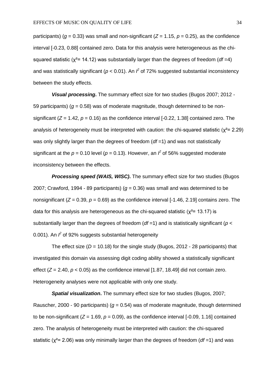participants) ( $q = 0.33$ ) was small and non-significant ( $Z = 1.15$ ,  $p = 0.25$ ), as the confidence interval [-0.23, 0.88] contained zero. Data for this analysis were heterogeneous as the chisquared statistic ( $\chi^2$ = 14.12) was substantially larger than the degrees of freedom (*df* = 4) and was statistically significant ( $p < 0.01$ ). An  $\hat{r}$  of 72% suggested substantial inconsistency between the study effects.

*Visual processing***.** The summary effect size for two studies (Bugos 2007; 2012 - 59 participants) ( $q = 0.58$ ) was of moderate magnitude, though determined to be nonsignificant (*Z* = 1.42, *p* = 0.16) as the confidence interval [-0.22, 1.38] contained zero. The analysis of heterogeneity must be interpreted with caution: the chi-squared statistic ( $x^2$ = 2.29) was only slightly larger than the degrees of freedom (*df* =1) and was not statistically significant at the  $p = 0.10$  level ( $p = 0.13$ ). However, an  $\beta$  of 56% suggested moderate inconsistency between the effects.

*Processing speed (WAIS, WISC)***.** The summary effect size for two studies (Bugos 2007; Crawford, 1994 - 89 participants) ( $q = 0.36$ ) was small and was determined to be nonsignificant ( $Z = 0.39$ ,  $p = 0.69$ ) as the confidence interval [-1.46, 2.19] contains zero. The data for this analysis are heterogeneous as the chi-squared statistic ( $\chi^2$ = 13.17) is substantially larger than the degrees of freedom (*df* =1) and is statistically significant (*p* < 0.001). An  $\hat{f}$  of 92% suggests substantial heterogeneity

The effect size  $(D = 10.18)$  for the single study (Bugos, 2012 - 28 participants) that investigated this domain via assessing digit coding ability showed a statistically significant effect  $(Z = 2.40, p < 0.05)$  as the confidence interval [1.87, 18.49] did not contain zero. Heterogeneity analyses were not applicable with only one study.

*Spatial visualization***.** The summary effect size for two studies (Bugos, 2007; Rauscher, 2000 - 90 participants) ( $g = 0.54$ ) was of moderate magnitude, though determined to be non-significant  $(Z = 1.69, p = 0.09)$ , as the confidence interval  $[-0.09, 1.16]$  contained zero. The analysis of heterogeneity must be interpreted with caution: the chi-squared statistic (χ²= 2.06) was only minimally larger than the degrees of freedom (*df* =1) and was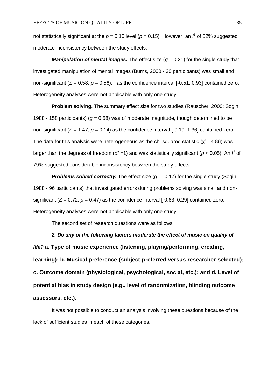not statistically significant at the  $p = 0.10$  level ( $p = 0.15$ ). However, an  $\ell$  of 52% suggested moderate inconsistency between the study effects.

*Manipulation of mental images*. The effect size  $(g = 0.21)$  for the single study that investigated manipulation of mental images (Burns, 2000 - 30 participants) was small and non-significant ( $Z = 0.58$ ,  $p = 0.56$ ), as the confidence interval [-0.51, 0.93] contained zero. Heterogeneity analyses were not applicable with only one study.

**Problem solving.** The summary effect size for two studies (Rauscher, 2000; Sogin, 1988 - 158 participants) ( $g = 0.58$ ) was of moderate magnitude, though determined to be non-significant ( $Z = 1.47$ ,  $p = 0.14$ ) as the confidence interval [-0.19, 1.36] contained zero. The data for this analysis were heterogeneous as the chi-squared statistic ( $\chi^2$ = 4.86) was larger than the degrees of freedom ( $df = 1$ ) and was statistically significant ( $p < 0.05$ ). An  $f^2$  of 79% suggested considerable inconsistency between the study effects.

*Problems solved correctly.* The effect size (*g* = -0.17) for the single study (Sogin, 1988 - 96 participants) that investigated errors during problems solving was small and nonsignificant  $(Z = 0.72, p = 0.47)$  as the confidence interval  $[-0.63, 0.29]$  contained zero. Heterogeneity analyses were not applicable with only one study.

The second set of research questions were as follows:

*2. Do any of the following factors moderate the effect of music on quality of life?* **a. Type of music experience (listening, playing/performing, creating, learning); b. Musical preference (subject-preferred versus researcher-selected); c. Outcome domain (physiological, psychological, social, etc.); and d. Level of potential bias in study design (e.g., level of randomization, blinding outcome assessors, etc.).**

It was not possible to conduct an analysis involving these questions because of the lack of sufficient studies in each of these categories.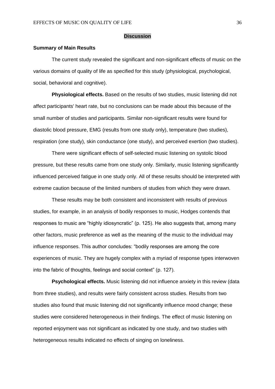#### **Discussion**

#### **Summary of Main Results**

The current study revealed the significant and non-significant effects of music on the various domains of quality of life as specified for this study (physiological, psychological, social, behavioral and cognitive).

**Physiological effects.** Based on the results of two studies, music listening did not affect participants' heart rate, but no conclusions can be made about this because of the small number of studies and participants. Similar non-significant results were found for diastolic blood pressure, EMG (results from one study only), temperature (two studies), respiration (one study), skin conductance (one study), and perceived exertion (two studies).

There were significant effects of self-selected music listening on systolic blood pressure, but these results came from one study only. Similarly, music listening significantly influenced perceived fatigue in one study only. All of these results should be interpreted with extreme caution because of the limited numbers of studies from which they were drawn.

These results may be both consistent and inconsistent with results of previous studies, for example, in an analysis of bodily responses to music, Hodges contends that responses to music are "highly idiosyncratic" (p. 125). He also suggests that, among many other factors, music preference as well as the meaning of the music to the individual may influence responses. This author concludes: "bodily responses are among the core experiences of music. They are hugely complex with a myriad of response types interwoven into the fabric of thoughts, feelings and social context" (p. 127).

**Psychological effects.** Music listening did not influence anxiety in this review (data from three studies), and results were fairly consistent across studies. Results from two studies also found that music listening did not significantly influence mood change; these studies were considered heterogeneous in their findings. The effect of music listening on reported enjoyment was not significant as indicated by one study, and two studies with heterogeneous results indicated no effects of singing on loneliness.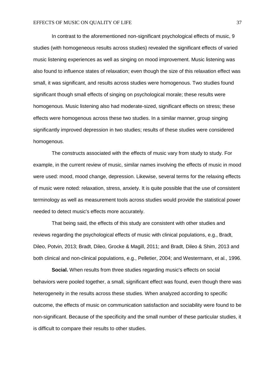In contrast to the aforementioned non-significant psychological effects of music, 9 studies (with homogeneous results across studies) revealed the significant effects of varied music listening experiences as well as singing on mood improvement. Music listening was also found to influence states of relaxation; even though the size of this relaxation effect was small, it was significant, and results across studies were homogenous. Two studies found significant though small effects of singing on psychological morale; these results were homogenous. Music listening also had moderate-sized, significant effects on stress; these effects were homogenous across these two studies. In a similar manner, group singing significantly improved depression in two studies; results of these studies were considered homogenous.

The constructs associated with the effects of music vary from study to study. For example, in the current review of music, similar names involving the effects of music in mood were used: mood, mood change, depression. Likewise, several terms for the relaxing effects of music were noted: relaxation, stress, anxiety. It is quite possible that the use of consistent terminology as well as measurement tools across studies would provide the statistical power needed to detect music's effects more accurately.

That being said, the effects of this study are consistent with other studies and reviews regarding the psychological effects of music with clinical populations, e.g., Bradt, Dileo, Potvin, 2013; Bradt, Dileo, Grocke & Magill, 2011; and Bradt, Dileo & Shim, 2013 and both clinical and non-clinical populations, e.g., Pelletier, 2004; and Westermann, et al., 1996.

**Social.** When results from three studies regarding music's effects on social behaviors were pooled together, a small, significant effect was found, even though there was heterogeneity in the results across these studies. When analyzed according to specific outcome, the effects of music on communication satisfaction and sociability were found to be non-significant. Because of the specificity and the small number of these particular studies, it is difficult to compare their results to other studies.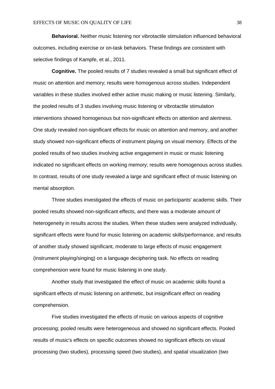**Behavioral.** Neither music listening nor vibrotactile stimulation influenced behavioral outcomes, including exercise or on-task behaviors. These findings are consistent with selective findings of Kampfe, et al., 2011.

**Cognitive.** The pooled results of 7 studies revealed a small but significant effect of music on attention and memory; results were homogenous across studies. Independent variables in these studies involved either active music making or music listening. Similarly, the pooled results of 3 studies involving music listening or vibrotactile stimulation interventions showed homogenous but non-significant effects on attention and alertness. One study revealed non-significant effects for music on attention and memory, and another study showed non-significant effects of instrument playing on visual memory. Effects of the pooled results of two studies involving active engagement in music or music listening indicated no significant effects on working memory; results were homogenous across studies. In contrast, results of one study revealed a large and significant effect of music listening on mental absorption.

Three studies investigated the effects of music on participants' academic skills. Their pooled results showed non-significant effects, and there was a moderate amount of heterogeneity in results across the studies. When these studies were analyzed individually, significant effects were found for music listening on academic skills/performance, and results of another study showed significant, moderate to large effects of music engagement (instrument playing/singing) on a language deciphering task. No effects on reading comprehension were found for music listening in one study.

Another study that investigated the effect of music on academic skills found a significant effects of music listening on arithmetic, but insignificant effect on reading comprehension.

Five studies investigated the effects of music on various aspects of cognitive processing; pooled results were heterogeneous and showed no significant effects. Pooled results of music's effects on specific outcomes showed no significant effects on visual processing (two studies), processing speed (two studies), and spatial visualization (two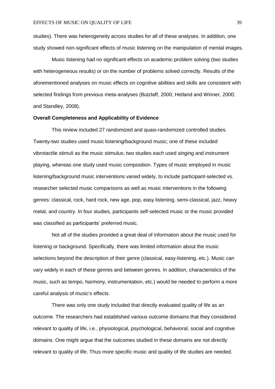studies). There was heterogeneity across studies for all of these analyses. In addition, one study showed non-significant effects of music listening on the manipulation of mental images.

Music listening had no significant effects on academic problem solving (two studies with heterogeneous results) or on the number of problems solved correctly. Results of the aforementioned analyses on music effects on cognitive abilities and skills are consistent with selected findings from previous meta-analyses (Butzlaff, 2000; Hetland and Winner, 2000; and Standley, 2008).

#### **Overall Completeness and Applicability of Evidence**

This review included 27 randomized and quasi-randomized controlled studies. Twenty-two studies used music listening/background music; one of these included vibrotactile stimuli as the music stimulus; two studies each used singing and instrument playing, whereas one study used music composition. Types of music employed in music listening/background music interventions varied widely, to include participant-selected vs. researcher selected music comparisons as well as music interventions in the following genres: classical, rock, hard rock, new age, pop, easy listening, semi-classical, jazz, heavy metal, and country. In four studies, participants self-selected music or the music provided was classified as participants' preferred music.

Not all of the studies provided a great deal of information about the music used for listening or background. Specifically, there was limited information about the music selections beyond the description of their genre (classical, easy-listening, etc.). Music can vary widely in each of these genres and between genres. In addition, characteristics of the music, such as tempo, harmony, instrumentation, etc.) would be needed to perform a more careful analysis of music's effects.

There was only one study included that directly evaluated quality of life as an outcome. The researchers had established various outcome domains that they considered relevant to quality of life, i.e., physiological, psychological, behavioral, social and cognitive domains. One might argue that the outcomes studied in these domains are not directly relevant to quality of life. Thus more specific music and quality of life studies are needed.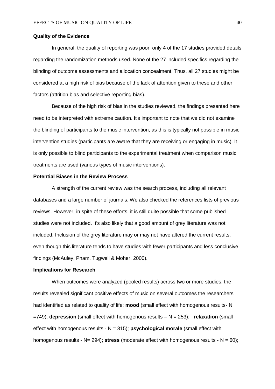### **Quality of the Evidence**

In general, the quality of reporting was poor; only 4 of the 17 studies provided details regarding the randomization methods used. None of the 27 included specifics regarding the blinding of outcome assessments and allocation concealment. Thus, all 27 studies might be considered at a high risk of bias because of the lack of attention given to these and other factors (attrition bias and selective reporting bias).

Because of the high risk of bias in the studies reviewed, the findings presented here need to be interpreted with extreme caution. It's important to note that we did not examine the blinding of participants to the music intervention, as this is typically not possible in music intervention studies (participants are aware that they are receiving or engaging in music). It is only possible to blind participants to the experimental treatment when comparison music treatments are used (various types of music interventions).

### **Potential Biases in the Review Process**

A strength of the current review was the search process, including all relevant databases and a large number of journals. We also checked the references lists of previous reviews. However, in spite of these efforts, it is still quite possible that some published studies were not included. It's also likely that a good amount of grey literature was not included. Inclusion of the grey literature may or may not have altered the current results, even though this literature tends to have studies with fewer participants and less conclusive findings (McAuley, Pham, Tugwell & Moher, 2000).

### **Implications for Research**

When outcomes were analyzed (pooled results) across two or more studies, the results revealed significant positive effects of music on several outcomes the researchers had identified as related to quality of life: **mood** (small effect with homogenous results- N =749), **depression** (small effect with homogenous results – N = 253); **relaxation** (small effect with homogenous results - N = 315); **psychological morale** (small effect with homogenous results - N= 294); **stress** (moderate effect with homogenous results - N = 60);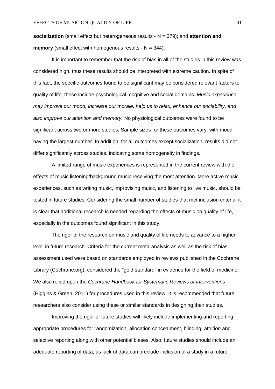**socialization** (small effect but heterogeneous results - N = 379); and **attention and memory** (small effect with homogenous results - N = 344).

It is important to remember that the risk of bias in all of the studies in this review was considered high, thus these results should be interpreted with extreme caution. In spite of this fact, the specific outcomes found to be significant may be considered relevant factors to quality of life; these include psychological, cognitive and social domains. *Music experience may improve our mood, increase our morale, help us to relax, enhance our sociability, and also improve our attention and memory.* No physiological outcomes were found to be significant across two or more studies. Sample sizes for these outcomes vary, with mood having the largest number. In addition, for all outcomes except socialization, results did not differ significantly across studies, indicating some homogeneity in findings.

A limited range of music experiences is represented in the current review with the effects of music listening/background music receiving the most attention. More active music experiences, such as writing music, improvising music, and listening to live music, should be tested in future studies. Considering the small number of studies that met inclusion criteria, it is clear that additional research is needed regarding the effects of music on quality of life, especially in the outcomes found significant in this study.

The rigor of the research on music and quality of life needs to advance to a higher level in future research. Criteria for the current meta-analysis as well as the risk of bias assessment used were based on standards employed in reviews published in the Cochrane Library (Cochrane.org), considered the "gold standard" in evidence for the field of medicine. We also relied upon the *Cochrane Handbook for Systematic Reviews of Interventions*  (Higgins & Green, 2011) for procedures used in this review. It is recommended that future researchers also consider using these or similar standards in designing their studies.

Improving the rigor of future studies will likely include implementing and reporting appropriate procedures for randomization, allocation concealment, blinding, attrition and selective reporting along with other potential biases. Also, future studies should include an adequate reporting of data, as lack of data can preclude inclusion of a study in a future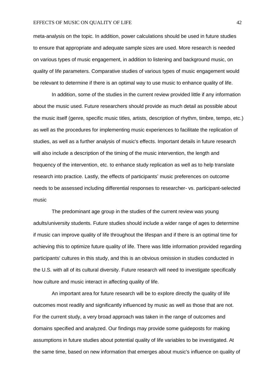### EFFECTS OF MUSIC ON QUALITY OF LIFE 42

meta-analysis on the topic. In addition, power calculations should be used in future studies to ensure that appropriate and adequate sample sizes are used. More research is needed on various types of music engagement, in addition to listening and background music, on quality of life parameters. Comparative studies of various types of music engagement would be relevant to determine if there is an optimal way to use music to enhance quality of life.

In addition, some of the studies in the current review provided little if any information about the music used. Future researchers should provide as much detail as possible about the music itself (genre, specific music titles, artists, description of rhythm, timbre, tempo, etc.) as well as the procedures for implementing music experiences to facilitate the replication of studies, as well as a further analysis of music's effects. Important details in future research will also include a description of the timing of the music intervention, the length and frequency of the intervention, etc. to enhance study replication as well as to help translate research into practice. Lastly, the effects of participants' music preferences on outcome needs to be assessed including differential responses to researcher- vs. participant-selected music

The predominant age group in the studies of the current review was young adults/university students. Future studies should include a wider range of ages to determine if music can improve quality of life throughout the lifespan and if there is an optimal time for achieving this to optimize future quality of life. There was little information provided regarding participants' cultures in this study, and this is an obvious omission in studies conducted in the U.S. with all of its cultural diversity. Future research will need to investigate specifically how culture and music interact in affecting quality of life.

An important area for future research will be to explore directly the quality of life outcomes most readily and significantly influenced by music as well as those that are not. For the current study, a very broad approach was taken in the range of outcomes and domains specified and analyzed. Our findings may provide some guideposts for making assumptions in future studies about potential quality of life variables to be investigated. At the same time, based on new information that emerges about music's influence on quality of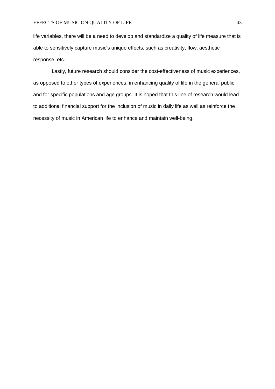### EFFECTS OF MUSIC ON QUALITY OF LIFE 43

life variables, there will be a need to develop and standardize a quality of life measure that is able to sensitively capture music's unique effects, such as creativity, flow, aesthetic response, etc.

Lastly, future research should consider the cost-effectiveness of music experiences, as opposed to other types of experiences, in enhancing quality of life in the general public and for specific populations and age groups. It is hoped that this line of research would lead to additional financial support for the inclusion of music in daily life as well as reinforce the necessity of music in American life to enhance and maintain well-being.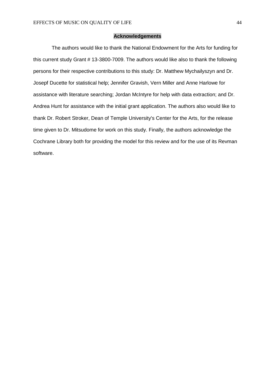#### **Acknowledgements**

The authors would like to thank the National Endowment for the Arts for funding for this current study Grant # 13-3800-7009. The authors would like also to thank the following persons for their respective contributions to this study: Dr. Matthew Mychailyszyn and Dr. Josepf Ducette for statistical help; Jennifer Gravish, Vern Miller and Anne Harlowe for assistance with literature searching; Jordan McIntyre for help with data extraction; and Dr. Andrea Hunt for assistance with the initial grant application. The authors also would like to thank Dr. Robert Stroker, Dean of Temple University's Center for the Arts, for the release time given to Dr. Mitsudome for work on this study. Finally, the authors acknowledge the Cochrane Library both for providing the model for this review and for the use of its Revman software.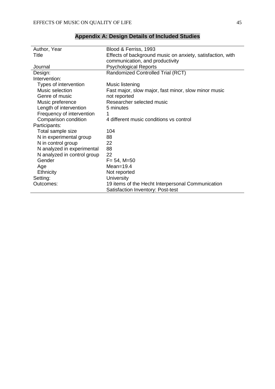| Author, Year                | Blood & Ferriss, 1993                                      |
|-----------------------------|------------------------------------------------------------|
| <b>Title</b>                | Effects of background music on anxiety, satisfaction, with |
|                             | communication, and productivity                            |
| Journal                     | <b>Psychological Reports</b>                               |
| Design:                     | Randomized Controlled Trial (RCT)                          |
| Intervention:               |                                                            |
| Types of intervention       | Music listening                                            |
| Music selection             | Fast major, slow major, fast minor, slow minor music       |
| Genre of music              | not reported                                               |
| Music preference            | Researcher selected music                                  |
| Length of intervention      | 5 minutes                                                  |
| Frequency of intervention   | 1                                                          |
| Comparison condition        | 4 different music conditions vs control                    |
| Participants:               |                                                            |
| Total sample size           | 104                                                        |
| N in experimental group     | 88                                                         |
| N in control group          | 22                                                         |
| N analyzed in experimental  | 88                                                         |
| N analyzed in control group | 22                                                         |
| Gender                      | $F = 54$ , M=50                                            |
| Age                         | $Mean=19.4$                                                |
| Ethnicity                   | Not reported                                               |
| Setting:                    | <b>University</b>                                          |
| Outcomes:                   | 19 items of the Hecht Interpersonal Communication          |
|                             | Satisfaction Inventory: Post-test                          |
|                             |                                                            |

# **Appendix A: Design Details of Included Studies**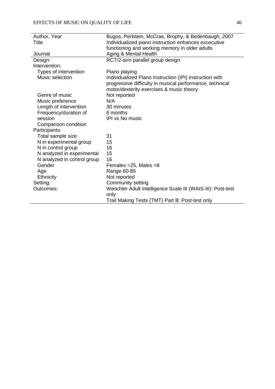| Author, Year                | Bugos, Perlstein, McCrae, Brophy, & Bedenbaugh, 2007        |
|-----------------------------|-------------------------------------------------------------|
| Title                       | Individualized piano instruction enhances excecutive        |
|                             | functioning and working memory in older adults              |
| Journal                     | Aging & Mental Health                                       |
| Design:                     | RCT/2-arm parallel group design                             |
| Intervention:               |                                                             |
| Types of intervention       | Piano playing                                               |
| Music selection             | Individualized Piano Instruction (IPI) instruction with     |
|                             | progressive difficulty in musical performance, technical    |
|                             | motor/dexterity exercises & music theory                    |
| Genre of music              | Not reported                                                |
| Music preference            | N/A                                                         |
| Length of intervention      | 30 minutes                                                  |
| Frequency/duration of       | 6 months                                                    |
| session                     | <b>IPI vs No music</b>                                      |
| Comparison condition        |                                                             |
| Participants:               |                                                             |
| Total sample size           | 31                                                          |
| N in experimental group     | 15                                                          |
| N in control group          | 16                                                          |
| N analyzed in experimental  | 15                                                          |
| N analyzed in control group | 16                                                          |
| Gender                      | Females = $25$ , Males = $8$                                |
| Age                         | Range 60-85                                                 |
| Ethnicity                   | Not reported                                                |
| Setting:                    | Community setting                                           |
| Outcomes:                   | Weschler Adult Intelligence Scale III (WAIS-III): Post-test |
|                             | only                                                        |
|                             | Trail Making Tests (TMT) Part B: Post-test only             |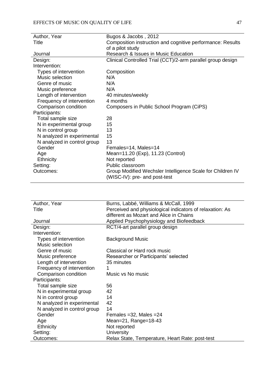| Author, Year                | Bugos & Jacobs, 2012                                                                        |
|-----------------------------|---------------------------------------------------------------------------------------------|
| Title                       | Composition instruction and cognitive performance: Results                                  |
|                             | of a pilot study                                                                            |
| Journal                     | Research & Issues in Music Education                                                        |
| Design:                     | Clinical Controlled Trial (CCT)/2-arm parallel group design                                 |
| Intervention:               |                                                                                             |
| Types of intervention       | Composition                                                                                 |
| Music selection             | N/A                                                                                         |
| Genre of music              | N/A                                                                                         |
| Music preference            | N/A                                                                                         |
| Length of intervention      | 40 minutes/weekly                                                                           |
| Frequency of intervention   | 4 months                                                                                    |
| Comparison condition        | Composers in Public School Program (CiPS)                                                   |
| Participants:               |                                                                                             |
| Total sample size           | 28                                                                                          |
| N in experimental group     | 15                                                                                          |
| N in control group          | 13                                                                                          |
| N analyzed in experimental  | 15                                                                                          |
| N analyzed in control group | 13                                                                                          |
| Gender                      | Females=14, Males=14                                                                        |
| Age                         | Mean=11.20 (Exp), 11.23 (Control)                                                           |
| Ethnicity                   | Not reported                                                                                |
| Setting:                    | Public classroom                                                                            |
| Outcomes:                   | Group Modified Wechsler Intelligence Scale for Children IV<br>(WISC-IV): pre- and post-test |

| Author, Year                | Burns, Labbé, Williams & McCall, 1999                    |
|-----------------------------|----------------------------------------------------------|
| Title                       | Perceived and physiological indicators of relaxation: As |
|                             | different as Mozart and Alice in Chains                  |
| Journal                     | Applied Psychophysiology and Biofeedback                 |
| Design:                     | RCT/4-art parallel group design                          |
| Intervention:               |                                                          |
| Types of intervention       | <b>Background Music</b>                                  |
| Music selection             |                                                          |
| Genre of music              | Classical or Hard rock music                             |
| Music preference            | Researcher or Participants' selected                     |
| Length of intervention      | 35 minutes                                               |
| Frequency of intervention   | 1                                                        |
| Comparison condition        | Music vs No music                                        |
| Participants:               |                                                          |
| Total sample size           | 56                                                       |
| N in experimental group     | 42                                                       |
| N in control group          | 14                                                       |
| N analyzed in experimental  | 42                                                       |
| N analyzed in control group | 14                                                       |
| Gender                      | Females = $32$ , Males = $24$                            |
| Age                         | Mean=21, Range=18-43                                     |
| Ethnicity                   | Not reported                                             |
| Setting:                    | <b>University</b>                                        |
| Outcomes:                   | Relax State, Temperature, Heart Rate: post-test          |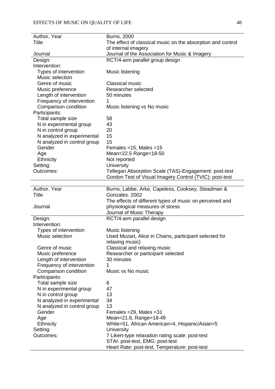| Author, Year                | <b>Burns, 2000</b>                                                               |
|-----------------------------|----------------------------------------------------------------------------------|
| <b>Title</b>                | The effect of classical music on the absorption and control                      |
|                             | of internal imagery                                                              |
| Journal                     | Journal of the Association for Music & Imagery                                   |
| Design:                     | RCT/4-arm parallel group design                                                  |
| Intervention:               |                                                                                  |
| Types of intervention       | Music listening                                                                  |
| Music selection             |                                                                                  |
| Genre of music              | <b>Classical music</b>                                                           |
| Music preference            | Researcher selected                                                              |
| Length of intervention      | 50 minutes                                                                       |
| Frequency of intervention   | 1                                                                                |
| Comparison condition        | Music listening vs No music                                                      |
| Participants:               |                                                                                  |
| Total sample size           | 58                                                                               |
| N in experimental group     | 43                                                                               |
| N in control group          | 20                                                                               |
| N analyzed in experimental  | 15                                                                               |
| N analyzed in control group | 15                                                                               |
| Gender                      | Females = $15$ , Males = $15$                                                    |
| Age                         | Mean=22.5 Range=18-50                                                            |
| <b>Ethnicity</b>            | Not reported                                                                     |
| Setting:                    | University                                                                       |
| Outcomes:                   | Tellegan Absorption Scale (TAS)-Engagement: post-test                            |
|                             | Gordon Test of Visual Imagery Control (TVIC): post-test                          |
|                             |                                                                                  |
| Author, Year                | Burns, Labbe, Arke, Capeless, Cooksey, Steadman &                                |
| <b>Title</b>                | Gonzales, 2002                                                                   |
|                             | The effects of different types of music on perceived and                         |
| Journal                     | physiological measures of stress                                                 |
|                             | Journal of Music Therapy                                                         |
| Design:                     | RCT/4-arm parallel design                                                        |
| Intervention:               |                                                                                  |
| Types of intervention       | Music listening                                                                  |
| Music selection             | Used Mozart, Alice in Chains, participant selected for                           |
|                             | relaxing music)                                                                  |
| Genre of music              | Classical and relaxing music                                                     |
| Music preference            | Researcher or participant selected                                               |
| Length of intervention      | 30 minutes                                                                       |
| Frequency of intervention   | 1                                                                                |
| Comparison condition        | Music vs No music                                                                |
| Participants:               |                                                                                  |
| Total sample size           | 6                                                                                |
| N in experimental group     | 47                                                                               |
| N in control group          | 13                                                                               |
| N analyzed in experimental  | 34                                                                               |
| N analyzed in control group | 13                                                                               |
| Gender                      | Females = $29$ , Males = $31$                                                    |
| Age                         | Mean=21.6, Range=18-49                                                           |
| <b>Ethnicity</b>            | White=51, African American=4, Hispanic/Asian=5                                   |
| Setting:                    | University                                                                       |
|                             |                                                                                  |
| Outcomes:                   | 7 Likert-type relaxation rating scale: post-test                                 |
|                             | STAI: post-test, EMG: post-test<br>Heart Rate: post-test, Temperature: post-test |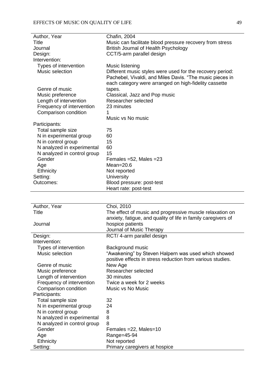| Author, Year                | Chafin, 2004                                                  |
|-----------------------------|---------------------------------------------------------------|
| Title                       | Music can facilitate blood pressure recovery from stress      |
| Journal                     | British Journal of Health Psychology                          |
| Design:                     | CCT/5-arm parallel design                                     |
| Intervention:               |                                                               |
| Types of intervention       | Music listening                                               |
| Music selection             | Different music styles were used for the recovery period:     |
|                             | Pachebel, Vivaldi, and Miles Davis. "The music pieces in      |
|                             | each category were arranged on high-fidelity cassette         |
| Genre of music              | tapes.                                                        |
| Music preference            | Classical, Jazz and Pop music                                 |
| Length of intervention      | Researcher selected                                           |
| Frequency of intervention   | 23 minutes                                                    |
| Comparison condition        | 1                                                             |
|                             | Music vs No music                                             |
| Participants:               |                                                               |
| Total sample size           | 75                                                            |
| N in experimental group     | 60                                                            |
| N in control group          | 15                                                            |
| N analyzed in experimental  | 60                                                            |
| N analyzed in control group | 15                                                            |
| Gender                      | Females = $52$ , Males = $23$                                 |
| Age                         | Mean= $20.6$                                                  |
| <b>Ethnicity</b>            | Not reported                                                  |
| Setting:                    | University                                                    |
| Outcomes:                   | Blood pressure: post-test                                     |
|                             | Heart rate: post-test                                         |
|                             |                                                               |
|                             |                                                               |
|                             |                                                               |
| Author, Year                | Choi, 2010                                                    |
| <b>Title</b>                | The effect of music and progressive muscle relaxation on      |
|                             | anxiety, fatigue, and quality of life in family caregivers of |
| Journal                     | hospice patients                                              |
|                             | Journal of Music Therapy                                      |
| Design:                     | RCT/4-arm parallel design                                     |
| Intervention:               |                                                               |
| Types of intervention       | Background music                                              |
| Music selection             | "Awakening" by Steven Halpern was used which showed           |
|                             | positive effects in stress reduction from various studies.    |
| Genre of music              | New Age                                                       |
| Music preference            | Researcher selected                                           |
| Length of intervention      | 30 minutes                                                    |
| Frequency of intervention   | Twice a week for 2 weeks                                      |
| Comparison condition        | Music vs No Music                                             |
| Participants:               |                                                               |
| Total sample size           | 32                                                            |
| N in experimental group     | 24                                                            |
| N in control group          | 8                                                             |
| N analyzed in experimental  | 8                                                             |
| N analyzed in control group | 8                                                             |
| Gender                      | Females = 22, Males = 10                                      |
| Age                         | Range=45-94                                                   |
| Ethnicity<br>Setting:       | Not reported<br>Primary caregivers at hospice                 |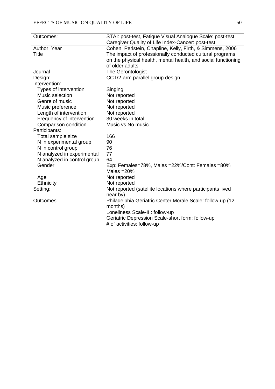| Outcomes:                   | STAI: post-test, Fatigue Visual Analogue Scale: post-test     |
|-----------------------------|---------------------------------------------------------------|
|                             | Caregiver Quality of Life Index-Cancer: post-test             |
| Author, Year                | Cohen, Perlstein, Chapline, Kelly, Firth, & Simmens, 2006     |
| Title                       | The impact of professionally conducted cultural programs      |
|                             | on the physical health, mental health, and social functioning |
|                             | of older adults                                               |
| Journal                     | The Gerontologist                                             |
| Design:                     | CCT/2-arm parallel group design                               |
| Intervention:               |                                                               |
| Types of intervention       | Singing                                                       |
| Music selection             | Not reported                                                  |
| Genre of music              | Not reported                                                  |
| Music preference            | Not reported                                                  |
| Length of intervention      | Not reported                                                  |
| Frequency of intervention   | 30 weeks in total                                             |
| Comparison condition        | Music vs No music                                             |
| Participants:               |                                                               |
| Total sample size           | 166                                                           |
| N in experimental group     | 90                                                            |
| N in control group          | 76                                                            |
| N analyzed in experimental  | 77                                                            |
| N analyzed in control group | 64                                                            |
| Gender                      | Exp: Females=78%, Males =22%/Cont: Females =80%               |
|                             | Males $=20%$                                                  |
| Age                         | Not reported                                                  |
| Ethnicity                   | Not reported                                                  |
| Setting:                    | Not reported (satellite locations where participants lived    |
|                             | near by)                                                      |
| Outcomes                    | Philadelphia Geriatric Center Morale Scale: follow-up (12)    |
|                             | months)                                                       |
|                             | Loneliness Scale-III: follow-up                               |
|                             | Geriatric Depression Scale-short form: follow-up              |
|                             | # of activities: follow-up                                    |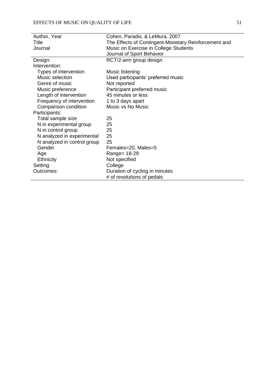| Author, Year                | Cohen, Paradis, & LeMura, 2007                       |
|-----------------------------|------------------------------------------------------|
| Title                       | The Effects of Contingent-Monetary Reinforcement and |
| Journal                     | Music on Exercise in College Students                |
|                             | Journal of Sport Behavior                            |
| Design:                     | RCT/2-arm group design                               |
| Intervention:               |                                                      |
| Types of intervention       | Music listening                                      |
| Music selection             | Used participants' preferred music                   |
| Genre of music              | Not reported                                         |
| Music preference            | Participant preferred music                          |
| Length of intervention      | 45 minutes or less                                   |
| Frequency of intervention   | 1 to 3 days apart                                    |
| Comparison condition        | Music vs No Music                                    |
| Participants:               |                                                      |
| Total sample size           | 25                                                   |
| N in experimental group     | 25                                                   |
| N in control group          | 25                                                   |
| N analyzed in experimental  | 25                                                   |
| N analyzed in control group | 25                                                   |
| Gender                      | Females=20, Males=5                                  |
| Age                         | Range= 18-29                                         |
| Ethnicity                   | Not specified                                        |
| Setting:                    | College                                              |
| Outcomes:                   | Duration of cycling in minutes                       |
|                             | # of revolutions of pedals                           |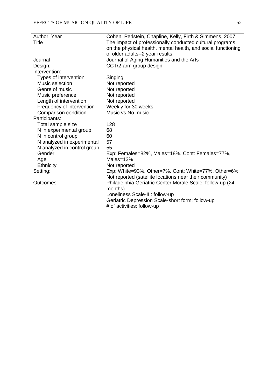| Author, Year                | Cohen, Perlstein, Chapline, Kelly, Firth & Simmens, 2007      |
|-----------------------------|---------------------------------------------------------------|
| Title                       | The impact of professionally conducted cultural programs      |
|                             | on the physical health, mental health, and social functioning |
|                             | of older adults--2 year results                               |
| Journal                     | Journal of Aging Humanities and the Arts                      |
| Design:                     | CCT/2-arm group design                                        |
| Intervention:               |                                                               |
| Types of intervention       | Singing                                                       |
| Music selection             | Not reported                                                  |
| Genre of music              | Not reported                                                  |
| Music preference            | Not reported                                                  |
| Length of intervention      | Not reported                                                  |
| Frequency of intervention   | Weekly for 30 weeks                                           |
| Comparison condition        | Music vs No music                                             |
| Participants:               |                                                               |
| Total sample size           | 128                                                           |
| N in experimental group     | 68                                                            |
| N in control group          | 60                                                            |
| N analyzed in experimental  | 57                                                            |
| N analyzed in control group | 55                                                            |
| Gender                      | Exp: Females=82%, Males=18%. Cont: Females=77%,               |
| Age                         | Males=13%                                                     |
| Ethnicity                   | Not reported                                                  |
| Setting:                    | Exp: White=93%, Other=7%. Cont: White=77%, Other=6%           |
|                             | Not reported (satellite locations near their community)       |
| Outcomes:                   | Philadelphia Geriatric Center Morale Scale: follow-up (24     |
|                             | months)                                                       |
|                             | Loneliness Scale-III: follow-up                               |
|                             | Geriatric Depression Scale-short form: follow-up              |
|                             | # of activities: follow-up                                    |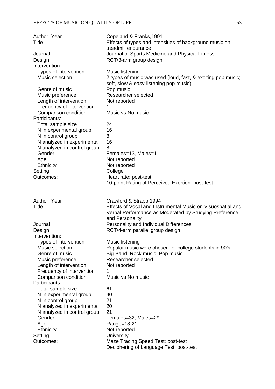| Author, Year                | Copeland & Franks, 1991                                      |
|-----------------------------|--------------------------------------------------------------|
| Title                       | Effects of types and intensities of background music on      |
|                             | treadmill endurance                                          |
| Journal                     | Journal of Sports Medicine and Physical Fitness              |
| Design:                     | RCT/3-arm group design                                       |
| Intervention:               |                                                              |
| Types of intervention       | Music listening                                              |
| Music selection             | 2 types of music was used (loud, fast, & exciting pop music; |
|                             | soft, slow & easy-listening pop music)                       |
| Genre of music              | Pop music                                                    |
| Music preference            | Researcher selected                                          |
| Length of intervention      | Not reported                                                 |
| Frequency of intervention   | 1                                                            |
| Comparison condition        | Music vs No music                                            |
| Participants:               |                                                              |
| Total sample size           | 24                                                           |
| N in experimental group     | 16                                                           |
| N in control group          | 8                                                            |
| N analyzed in experimental  | 16                                                           |
| N analyzed in control group | 8                                                            |
| Gender                      | Females=13, Males=11                                         |
| Age                         | Not reported                                                 |
| Ethnicity                   | Not reported                                                 |
| Setting:                    | College                                                      |
| Outcomes:                   | Heart rate: post-test                                        |
|                             | 10-point Rating of Perceived Exertion: post-test             |
|                             |                                                              |
| Author, Year                | Crawford & Strapp, 1994                                      |
| <b>Title</b>                | Effects of Vocal and Instrumental Music on Visuospatial and  |
|                             | Verbal Performance as Moderated by Studying Preference       |
|                             | and Personality                                              |
| Journal                     | Personality and Individual Differences                       |
| Design:                     | RCT/4-arm parallel group design                              |
| Intervention:               |                                                              |
| Types of intervention       | Music listening                                              |
| Music selection             | Popular music were chosen for college students in 90's       |
| Genre of music              | Big Band, Rock music, Pop music                              |
| Music preference            | Researcher selected                                          |
| Length of intervention      | Not reported                                                 |
| Frequency of intervention   |                                                              |
| Comparison condition        | Music vs No music                                            |
| Participants:               |                                                              |
| Total sample size           | 61                                                           |
| N in experimental group     | 40                                                           |
| N in control group          | 21                                                           |
| N analyzed in experimental  | 20                                                           |
| N analyzed in control group | 21                                                           |
| Gender                      | Females=32, Males=29                                         |
| Age                         | Range=18-21                                                  |
| <b>Ethnicity</b>            | Not reported                                                 |
| Setting:                    | University                                                   |
| Outcomes:                   | Maze Tracing Speed Test: post-test                           |
|                             | Deciphering of Language Test: post-test                      |
|                             |                                                              |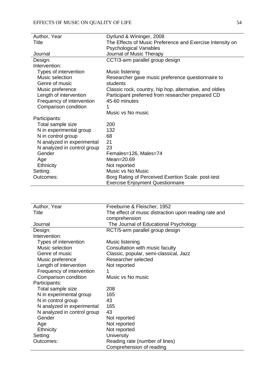| Author, Year                | Dyrlund & Wininger, 2008                                  |
|-----------------------------|-----------------------------------------------------------|
| Title                       | The Effects of Music Preference and Exercise Intensity on |
|                             | <b>Psychological Variables</b>                            |
| Journal                     | Journal of Music Therapy                                  |
| Design:                     | CCT/3-arm parallel group design                           |
| Intervention:               |                                                           |
| Types of intervention       | Music listening                                           |
| Music selection             | Researcher gave music preference questionnaire to         |
| Genre of music              | students                                                  |
| Music preference            | Classic rock, country, hip hop, alternative, and oldies   |
| Length of intervention      | Participant preferred from researcher prepared CD         |
| Frequency of intervention   | 45-60 minutes                                             |
| Comparison condition        |                                                           |
|                             | Music vs No music                                         |
| Participants:               |                                                           |
| Total sample size           | 200                                                       |
| N in experimental group     | 132                                                       |
| N in control group          | 68                                                        |
| N analyzed in experimental  | 21                                                        |
| N analyzed in control group | 23                                                        |
| Gender                      | Females=126, Males=74                                     |
| Age                         | Mean=20.69                                                |
| Ethnicity                   | Not reported                                              |
| Setting:                    | Music vs No Music                                         |
| Outcomes:                   | Borg Rating of Perceived Exertion Scale: post-test        |
|                             | <b>Exercise Enjoyment Questionnaire</b>                   |

| Author, Year                | Freeburne & Fleischer, 1952                           |
|-----------------------------|-------------------------------------------------------|
| Title                       | The effect of music distraction upon reading rate and |
|                             | comprehension                                         |
| Journal                     | The Journal of Educational Psychology                 |
| Design:                     | RCT/5-arm parallel group design                       |
| Intervention:               |                                                       |
| Types of intervention       | Music listening                                       |
| Music selection             | Consultation with music faculty                       |
| Genre of music              | Classic, popular, semi-classical, Jazz                |
| Music preference            | Researcher selected                                   |
| Length of intervention      | Not reported                                          |
| Frequency of intervention   |                                                       |
| Comparison condition        | Music vs No music                                     |
| Participants:               |                                                       |
| Total sample size           | 208                                                   |
| N in experimental group     | 165                                                   |
| N in control group          | 43                                                    |
| N analyzed in experimental  | 165                                                   |
| N analyzed in control group | 43                                                    |
| Gender                      | Not reported                                          |
| Age                         | Not reported                                          |
| <b>Ethnicity</b>            | Not reported                                          |
| Setting:                    | <b>University</b>                                     |
| Outcomes:                   | Reading rate (number of lines)                        |
|                             | Comprehension of reading                              |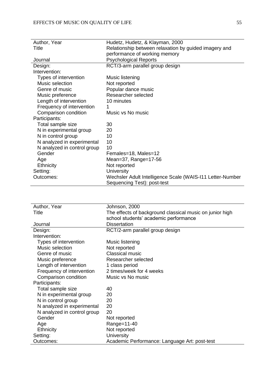| Author, Year                | Hudetz, Hudetz, & Klayman, 2000                           |
|-----------------------------|-----------------------------------------------------------|
| Title                       | Relationship between relaxation by guided imagery and     |
|                             | performance of working memory                             |
| Journal                     | <b>Psychological Reports</b>                              |
| Design:                     | RCT/3-arm parallel group design                           |
| Intervention:               |                                                           |
| Types of intervention       | Music listening                                           |
| Music selection             | Not reported                                              |
| Genre of music              | Popular dance music                                       |
| Music preference            | Researcher selected                                       |
| Length of intervention      | 10 minutes                                                |
| Frequency of intervention   |                                                           |
| Comparison condition        | Music vs No music                                         |
| Participants:               |                                                           |
| Total sample size           | 30                                                        |
| N in experimental group     | 20                                                        |
| N in control group          | 10                                                        |
| N analyzed in experimental  | 10                                                        |
| N analyzed in control group | 10                                                        |
| Gender                      | Females=18, Males=12                                      |
| Age                         | Mean=37, Range=17-56                                      |
| Ethnicity                   | Not reported                                              |
| Setting:                    | <b>University</b>                                         |
| Outcomes:                   | Wechsler Adult Intelligence Scale (WAIS-111 Letter-Number |
|                             | Sequencing Test): post-test                               |

| Author, Year                | Johnson, 2000                                            |
|-----------------------------|----------------------------------------------------------|
| Title                       | The effects of background classical music on junior high |
|                             | school students' academic performance                    |
| Journal                     | <b>Dissertation</b>                                      |
| Design:                     | RCT/2-arm parallel group design                          |
| Intervention:               |                                                          |
| Types of intervention       | Music listening                                          |
| Music selection             | Not reported                                             |
| Genre of music              | <b>Classical music</b>                                   |
| Music preference            | Researcher selected                                      |
| Length of intervention      | 1 class period                                           |
| Frequency of intervention   | 2 times/week for 4 weeks                                 |
| Comparison condition        | Music vs No music                                        |
| Participants:               |                                                          |
| Total sample size           | 40                                                       |
| N in experimental group     | 20                                                       |
| N in control group          | 20                                                       |
| N analyzed in experimental  | 20                                                       |
| N analyzed in control group | 20                                                       |
| Gender                      | Not reported                                             |
| Age                         | Range=11-40                                              |
| <b>Ethnicity</b>            | Not reported                                             |
| Setting:                    | <b>University</b>                                        |
| Outcomes:                   | Academic Performance: Language Art: post-test            |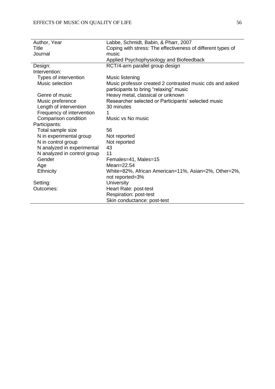| Author, Year                | Labbe, Schmidt, Babin, & Pharr, 2007                        |
|-----------------------------|-------------------------------------------------------------|
| Title                       | Coping with stress: The effectiveness of different types of |
| Journal                     | music                                                       |
|                             | Applied Psychophysiology and Biofeedback                    |
| Design:                     | RCT/4-arm parallel group design                             |
| Intervention:               |                                                             |
| Types of intervention       | Music listening                                             |
| Music selection             | Music professor created 2 contrasted music cds and asked    |
|                             | participants to bring "relaxing" music                      |
| Genre of music              |                                                             |
|                             | Heavy metal, classical or unknown                           |
| Music preference            | Researcher selected or Participants' selected music         |
| Length of intervention      | 30 minutes                                                  |
| Frequency of intervention   |                                                             |
| Comparison condition        | Music vs No music                                           |
| Participants:               |                                                             |
| Total sample size           | 56                                                          |
| N in experimental group     | Not reported                                                |
| N in control group          | Not reported                                                |
| N analyzed in experimental  | 43                                                          |
| N analyzed in control group | 11                                                          |
| Gender                      | Females=41, Males=15                                        |
| Age                         | Mean= $22.54$                                               |
| <b>Ethnicity</b>            | White=82%, African American=11%, Asian=2%, Other=2%,        |
|                             | not reported=3%                                             |
| Setting:                    | <b>University</b>                                           |
| Outcomes:                   | Heart Rate: post-test                                       |
|                             | Respiration: post-test                                      |
|                             | Skin conductance: post-test                                 |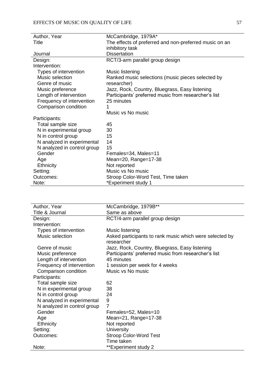| Author, Year                | McCambridge, 1979A*                                    |
|-----------------------------|--------------------------------------------------------|
| Title                       | The effects of preferred and non-preferred music on an |
|                             | inhibitory task                                        |
| Journal                     | <b>Dissertation</b>                                    |
| Design:                     | RCT/3-arm parallel group design                        |
| Intervention:               |                                                        |
| Types of intervention       | Music listening                                        |
| Music selection             | Ranked music selections (music pieces selected by      |
| Genre of music              | researcher)                                            |
| Music preference            | Jazz, Rock, Country, Bluegrass, Easy listening         |
| Length of intervention      | Participants' preferred music from researcher's list   |
| Frequency of intervention   | 25 minutes                                             |
| Comparison condition        | 1                                                      |
|                             | Music vs No music                                      |
| Participants:               |                                                        |
| Total sample size           | 45                                                     |
| N in experimental group     | 30                                                     |
| N in control group          | 15                                                     |
| N analyzed in experimental  | 14                                                     |
| N analyzed in control group | 15                                                     |
| Gender                      | Females=34, Males=11                                   |
| Age                         | Mean=20, Range=17-38                                   |
| <b>Ethnicity</b>            | Not reported                                           |
| Setting:                    | Music vs No music                                      |
| Outcomes:                   | Stroop Color-Word Test, Time taken                     |
| Note:                       | *Experiment study 1                                    |

| Author, Year                | McCambridge, 1979B**                                                  |
|-----------------------------|-----------------------------------------------------------------------|
| Title & Journal             | Same as above                                                         |
| Design:                     | RCT/4-arm parallel group design                                       |
| Intervention:               |                                                                       |
| Types of intervention       | Music listening                                                       |
| Music selection             | Asked participants to rank music which were selected by<br>researcher |
| Genre of music              | Jazz, Rock, Country, Bluegrass, Easy listening                        |
| Music preference            | Participants' preferred music from researcher's list                  |
| Length of intervention      | 45 minutes                                                            |
| Frequency of intervention   | 1 session per week for 4 weeks                                        |
| Comparison condition        | Music vs No music                                                     |
| Participants:               |                                                                       |
| Total sample size           | 62                                                                    |
| N in experimental group     | 38                                                                    |
| N in control group          | 24                                                                    |
| N analyzed in experimental  | 9                                                                     |
| N analyzed in control group | 7                                                                     |
| Gender                      | Females=52, Males=10                                                  |
| Age                         | Mean=21, Range=17-38                                                  |
| Ethnicity                   | Not reported                                                          |
| Setting:                    | <b>University</b>                                                     |
| Outcomes:                   | <b>Stroop Color-Word Test</b>                                         |
|                             | Time taken                                                            |
| Note:                       | **Experiment study 2                                                  |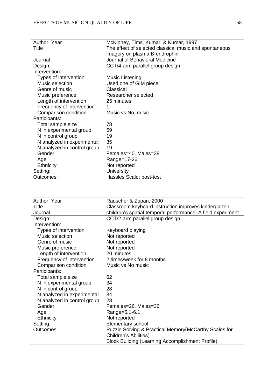| Author, Year                | McKinney, Tims, Kumar, & Kumar, 1997                   |
|-----------------------------|--------------------------------------------------------|
| Title                       | The effect of selected classical music and spontaneous |
|                             | imagery on plasma B-endrophin                          |
| Journal                     | Journal of Behavioral Medicine                         |
| Design:                     | CCT/4-arm parallel group design                        |
| Intervention:               |                                                        |
| Types of intervention       | Music Listening                                        |
| Music selection             | Used one of GIM piece                                  |
| Genre of music              | Classical                                              |
| Music preference            | Researcher selected                                    |
| Length of intervention      | 25 minutes                                             |
| Frequency of intervention   | 1                                                      |
| Comparison condition        | Music vs No music                                      |
| Participants:               |                                                        |
| Total sample size           | 78                                                     |
| N in experimental group     | 59                                                     |
| N in control group          | 19                                                     |
| N analyzed in experimental  | 35                                                     |
| N analyzed in control group | 19                                                     |
| Gender                      | Females=40, Males=38                                   |
| Age                         | Range=17-26                                            |
| <b>Ethnicity</b>            | Not reported                                           |
| Setting:                    | <b>University</b>                                      |
| Outcomes:                   | Hassles Scale: post-test                               |

| Author, Year                | Rauscher & Zupan, 2000                                      |
|-----------------------------|-------------------------------------------------------------|
| Title                       | Classroom keyboard instruction improves kindergarten        |
| Journal                     | children's spatial-temporal performance: A field experiment |
| Design:                     | CCT/2-arm parallel group design                             |
| Intervention:               |                                                             |
| Types of intervention       | Keyboard playing                                            |
| Music selection             | Not reported                                                |
| Genre of music              | Not reported                                                |
| Music preference            | Not reported                                                |
| Length of intervention      | 20 minutes                                                  |
| Frequency of intervention   | 2 times/week for 8 months                                   |
| Comparison condition        | Music vs No music                                           |
| Participants:               |                                                             |
| Total sample size           | 62                                                          |
| N in experimental group     | 34                                                          |
| N in control group          | 28                                                          |
| N analyzed in experimental  | 34                                                          |
| N analyzed in control group | 28                                                          |
| Gender                      | Females=26, Males=36                                        |
| Age                         | Range=5.1-6.1                                               |
| Ethnicity                   | Not reported                                                |
| Setting:                    | Elementary school                                           |
| Outcomes:                   | Puzzle Solving & Practical Memory (McCarthy Scales for      |
|                             | <b>Children's Abilities)</b>                                |
|                             | <b>Block Building (Learning Accomplishment Profile)</b>     |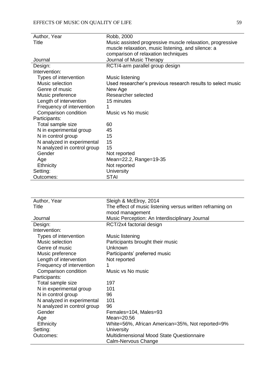| Author, Year                | Robb, 2000                                                  |
|-----------------------------|-------------------------------------------------------------|
| Title                       | Music assisted progressive muscle relaxation, progressive   |
|                             | muscle relaxation, music listening, and silence: a          |
|                             | comparison of relaxation techniques                         |
| Journal                     | Journal of Music Therapy                                    |
| Design:                     | RCT/4-arm parallel group design                             |
| Intervention:               |                                                             |
| Types of intervention       | Music listening                                             |
| Music selection             | Used researcher's previous research results to select music |
| Genre of music              | New Age                                                     |
| Music preference            | Researcher selected                                         |
| Length of intervention      | 15 minutes                                                  |
| Frequency of intervention   | 1                                                           |
| Comparison condition        | Music vs No music                                           |
| Participants:               |                                                             |
| Total sample size           | 60                                                          |
| N in experimental group     | 45                                                          |
| N in control group          | 15                                                          |
| N analyzed in experimental  | 15                                                          |
| N analyzed in control group | 15                                                          |
| Gender                      | Not reported                                                |
| Age                         | Mean=22.2, Range=19-35                                      |
| Ethnicity                   | Not reported                                                |
| Setting:                    | <b>University</b>                                           |
| Outcomes:                   | STAI                                                        |

| Author, Year                | Sleigh & McElroy, 2014                                    |
|-----------------------------|-----------------------------------------------------------|
| Title                       | The effect of music listening versus written reframing on |
|                             | mood management                                           |
| Journal                     | Music Perception: An Interdisciplinary Journal            |
| Design:                     | RCT/2x4 factorial design                                  |
| Intervention:               |                                                           |
| Types of intervention       | Music listening                                           |
| Music selection             | Participants brought their music                          |
| Genre of music              | Unknown                                                   |
| Music preference            | Participants' preferred music                             |
| Length of intervention      | Not reported                                              |
| Frequency of intervention   |                                                           |
| Comparison condition        | Music vs No music                                         |
| Participants:               |                                                           |
| Total sample size           | 197                                                       |
| N in experimental group     | 101                                                       |
| N in control group          | 96                                                        |
| N analyzed in experimental  | 101                                                       |
| N analyzed in control group | 96                                                        |
| Gender                      | Females=104, Males=93                                     |
| Age                         | Mean=20.56                                                |
| <b>Ethnicity</b>            | White=56%, African American=35%, Not reported=9%          |
| Setting:                    | <b>University</b>                                         |
| Outcomes:                   | Multidimensional Mood State Questionnaire                 |
|                             | Calm-Nervous Change                                       |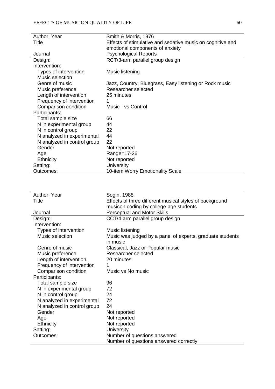| Author, Year                | Smith & Morris, 1976                                       |
|-----------------------------|------------------------------------------------------------|
| Title                       | Effects of stimulative and sedative music on cognitive and |
|                             | emotional components of anxiety                            |
| Journal                     | <b>Psychological Reports</b>                               |
| Design:                     | RCT/3-arm parallel group design                            |
| Intervention:               |                                                            |
| Types of intervention       | Music listening                                            |
| Music selection             |                                                            |
| Genre of music              | Jazz, Country, Bluegrass, Easy listening or Rock music     |
| Music preference            | Researcher selected                                        |
| Length of intervention      | 25 minutes                                                 |
| Frequency of intervention   | 1                                                          |
| Comparison condition        | Music vs Control                                           |
| Participants:               |                                                            |
| Total sample size           | 66                                                         |
| N in experimental group     | 44                                                         |
| N in control group          | 22                                                         |
| N analyzed in experimental  | 44                                                         |
| N analyzed in control group | 22                                                         |
| Gender                      | Not reported                                               |
| Age                         | Range=17-26                                                |
| Ethnicity                   | Not reported                                               |
| Setting:                    | <b>University</b>                                          |
| Outcomes:                   | 10-item Worry Emotionality Scale                           |

| Author, Year                | Sogin, 1988                                               |
|-----------------------------|-----------------------------------------------------------|
| Title                       | Effects of three different musical styles of background   |
|                             | musicon coding by college-age students                    |
| Journal                     | <b>Perceptual and Motor Skills</b>                        |
| Design:                     | CCT/4-arm parallel group design                           |
| Intervention:               |                                                           |
| Types of intervention       | Music listening                                           |
| Music selection             | Music was judged by a panel of experts, graduate students |
|                             | in music                                                  |
| Genre of music              | Classical, Jazz or Popular music                          |
| Music preference            | Researcher selected                                       |
| Length of intervention      | 20 minutes                                                |
| Frequency of intervention   | 1                                                         |
| Comparison condition        | Music vs No music                                         |
| Participants:               |                                                           |
| Total sample size           | 96                                                        |
| N in experimental group     | 72                                                        |
| N in control group          | 24                                                        |
| N analyzed in experimental  | 72                                                        |
| N analyzed in control group | 24                                                        |
| Gender                      | Not reported                                              |
| Age                         | Not reported                                              |
| Ethnicity                   | Not reported                                              |
| Setting:                    | <b>University</b>                                         |
| Outcomes:                   | Number of questions answered                              |
|                             | Number of questions answered correctly                    |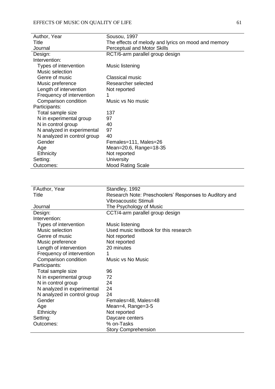| Author, Year                | Sousou, 1997                                        |
|-----------------------------|-----------------------------------------------------|
| Title                       | The effects of melody and lyrics on mood and memory |
| Journal                     | <b>Perceptual and Motor Skills</b>                  |
| Design:                     | RCT/6-arm parallel group design                     |
| Intervention:               |                                                     |
| Types of intervention       | Music listening                                     |
| Music selection             |                                                     |
| Genre of music              | <b>Classical music</b>                              |
| Music preference            | Researcher selected                                 |
| Length of intervention      | Not reported                                        |
| Frequency of intervention   | 1                                                   |
| Comparison condition        | Music vs No music                                   |
| Participants:               |                                                     |
| Total sample size           | 137                                                 |
| N in experimental group     | 97                                                  |
| N in control group          | 40                                                  |
| N analyzed in experimental  | 97                                                  |
| N analyzed in control group | 40                                                  |
| Gender                      | Females=111, Males=26                               |
| Age                         | Mean=20.6, Range=18-35                              |
| <b>Ethnicity</b>            | Not reported                                        |
| Setting:                    | <b>University</b>                                   |
| Outcomes:                   | <b>Mood Rating Scale</b>                            |

| FAuthor, Year               | Standley, 1992                                         |
|-----------------------------|--------------------------------------------------------|
| Title                       | Research Note: Preschoolers' Responses to Auditory and |
|                             | Vibroacoustic Stimuli                                  |
| Journal                     | The Psychology of Music                                |
| Design:                     | CCT/4-arm parallel group design                        |
| Intervention:               |                                                        |
| Types of intervention       | Music listening                                        |
| Music selection             | Used music textbook for this research                  |
| Genre of music              | Not reported                                           |
| Music preference            | Not reported                                           |
| Length of intervention      | 20 minutes                                             |
| Frequency of intervention   |                                                        |
| Comparison condition        | Music vs No Music                                      |
| Participants:               |                                                        |
| Total sample size           | 96                                                     |
| N in experimental group     | 72                                                     |
| N in control group          | 24                                                     |
| N analyzed in experimental  | 24                                                     |
| N analyzed in control group | 24                                                     |
| Gender                      | Females=48, Males=48                                   |
| Age                         | Mean=4, Range=3-5                                      |
| <b>Ethnicity</b>            | Not reported                                           |
| Setting:                    | Daycare centers                                        |
| Outcomes:                   | % on-Tasks                                             |
|                             | <b>Story Comprehension</b>                             |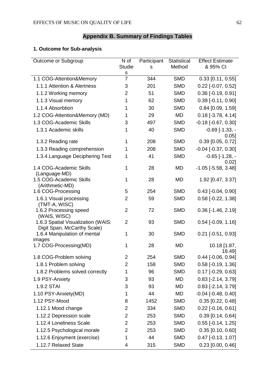# **Appendix B. Summary of Findings Tables**

### **1. Outcome for Sub-analysis**

| Outcome or Subgroup                                               | N of<br>Studie<br>S | Participant<br>s | <b>Statistical</b><br>Method | <b>Effect Estimate</b><br>& 95% CI  |
|-------------------------------------------------------------------|---------------------|------------------|------------------------------|-------------------------------------|
| 1.1 COG-Attention&Memory                                          | $\overline{7}$      | 344              | <b>SMD</b>                   | $0.33$ [0.11, 0.55]                 |
| 1.1.1 Attention & Alertness                                       | 3                   | 201              | <b>SMD</b>                   | $0.22$ [-0.07, 0.52]                |
| 1.1.2 Working memory                                              | 2                   | 51               | <b>SMD</b>                   | $0.36$ [-0.19, 0.91]                |
| 1.1.3 Visual memory                                               | 1                   | 62               | <b>SMD</b>                   | $0.39$ [-0.11, 0.90]                |
| 1.1.4 Absorbtion                                                  | 1                   | 30               | <b>SMD</b>                   | $0.84$ [0.09, 1.59]                 |
| 1.2 COG-Attention&Memory (MD)                                     | 1                   | 29               | <b>MD</b>                    | $0.18$ [-3.78, 4.14]                |
| 1.3 COG-Academic Skills                                           | 3                   | 497              | <b>SMD</b>                   | $-0.18$ $[-0.67, 0.30]$             |
| 1.3.1 Academic skills                                             | 1                   | 40               | <b>SMD</b>                   | $-0.69$ [ $-1.33$ , $-$<br>$0.05$ ] |
| 1.3.2 Reading rate                                                | 1                   | 208              | <b>SMD</b>                   | $0.39$ [0.05, 0.72]                 |
| 1.3.3 Reading comprehension                                       | 1                   | 208              | <b>SMD</b>                   | $-0.04$ [ $-0.37, 0.30$ ]           |
| 1.3.4 Language Deciphering Test                                   | 1                   | 41               | <b>SMD</b>                   | $-0.65$ [ $-1.28$ , $-$<br>0.02]    |
| 1.4 COG-Academic Skills<br>(Language-MD)                          | 1                   | 28               | <b>MD</b>                    | $-1.05$ [ $-5.58$ , $3.48$ ]        |
| 1.5 COG-Academic Skills<br>(Arithmetic-MD)                        | 1                   | 28               | <b>MD</b>                    | 1.92 [0.47, 3.37]                   |
| 1.6 COG-Processing                                                | 5                   | 254              | <b>SMD</b>                   | $0.43$ [-0.04, 0.90]                |
| 1.6.1 Visual processing<br>(TMT-A, WISC)                          | $\overline{2}$      | 59               | <b>SMD</b>                   | $0.58$ [-0.22, 1.38]                |
| 1.6.2 Processing speed<br>(WAIS, WISC)                            | $\overline{2}$      | 72               | <b>SMD</b>                   | $0.36$ [-1.46, 2.19]                |
| 1.6.3 Spatial Visualization (WAIS:<br>Digit Span, McCarthy Scale) | $\overline{2}$      | 93               | <b>SMD</b>                   | $0.54$ [-0.09, 1.16]                |
| 1.6.4 Manipulation of mental<br>images                            | 1                   | 30               | <b>SMD</b>                   | $0.21$ [-0.51, 0.93]                |
| 1.7 COG-Processing(MD)                                            | 1                   | 28               | <b>MD</b>                    | 10.18 [1.87,<br>18.49]              |
| 1.8 COG-Problem solving                                           | $\overline{2}$      | 254              | <b>SMD</b>                   | $0.44$ [-0.06, 0.94]                |
| 1.8.1 Problem solving                                             | 2                   | 158              | <b>SMD</b>                   | $0.58$ [-0.19, 1.36]                |
| 1.8.2 Problems solved correctly                                   | 1                   | 96               | <b>SMD</b>                   | $0.17$ [-0.29, 0.63]                |
| 1.9 PSY-Anxiety                                                   | 3                   | 93               | MD                           | $0.83$ [-2.14, 3.79]                |
| 1.9.2 STAI                                                        | 3                   | 93               | <b>MD</b>                    | $0.83$ [-2.14, 3.79]                |
| 1.10 PSY-Anxiety(MD)                                              | 1                   | 44               | MD                           | $-0.04$ [ $-0.48$ , $0.40$ ]        |
| 1.12 PSY-Mood                                                     | 8                   | 1452             | <b>SMD</b>                   | $0.35$ [0.22, 0.48]                 |
| 1.12.1 Mood change                                                | $\overline{2}$      | 334              | <b>SMD</b>                   | $0.22$ [-0.16, 0.61]                |
| 1.12.2 Depression scale                                           | $\overline{2}$      | 253              | <b>SMD</b>                   | $0.39$ [0.14, 0.64]                 |
| 1.12.4 Loneliness Scale                                           | 2                   | 253              | <b>SMD</b>                   | $0.55$ [-0.14, 1.25]                |
| 1.12.5 Psychological morale                                       | 2                   | 253              | <b>SMD</b>                   | $0.35$ [0.10, 0.60]                 |
| 1.12.6 Enjoyment (exercise)                                       | 1                   | 44               | <b>SMD</b>                   | $0.47$ [-0.13, 1.07]                |
| 1.12.7 Relaxed State                                              | 4                   | 315              | <b>SMD</b>                   | $0.23$ [0.00, 0.46]                 |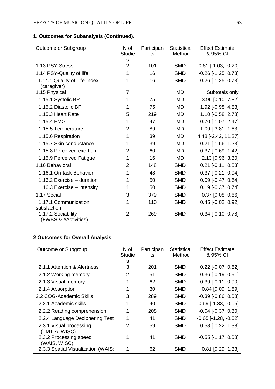**1. Outcomes for Subanalysis (Continued).**

| Outcome or Subgroup                         | N of           | Participan | <b>Statistica</b> | <b>Effect Estimate</b>       |
|---------------------------------------------|----------------|------------|-------------------|------------------------------|
|                                             | <b>Studie</b>  | ts         | I Method          | & 95% CI                     |
|                                             | s              |            |                   |                              |
| 1.13 PSY-Stress                             | $\overline{2}$ | 101        | <b>SMD</b>        | $-0.61$ $[-1.03, -0.20]$     |
| 1.14 PSY-Quality of life                    | 1              | 16         | <b>SMD</b>        | $-0.26$ [ $-1.25$ , $0.73$ ] |
| 1.14.1 Quality of Life Index<br>(caregiver) | 1              | 16         | <b>SMD</b>        | $-0.26$ [ $-1.25$ , $0.73$ ] |
| 1.15 Physical                               | $\overline{7}$ |            | <b>MD</b>         | Subtotals only               |
| 1.15.1 Systolic BP                          | 1              | 75         | <b>MD</b>         | 3.96 [0.10, 7.82]            |
| 1.15.2 Diastolic BP                         | 1              | 75         | <b>MD</b>         | 1.92 [-0.98, 4.83]           |
| 1.15.3 Heart Rate                           | 5              | 219        | <b>MD</b>         | 1.10 [-0.58, 2.78]           |
| 1.15.4 EMG                                  | 1              | 47         | MD                | $0.70$ [-1.07, 2.47]         |
| 1.15.5 Temperature                          | $\overline{2}$ | 89         | MD                | $-1.09$ [ $-3.81, 1.63$ ]    |
| 1.15.6 Respiration                          | 1              | 39         | MD                | 4.48 [-2.42, 11.37]          |
| 1.15.7 Skin conductance                     | 1              | 39         | <b>MD</b>         | $-0.21$ [ $-1.66$ , $1.23$ ] |
| 1.15.8 Perceived exertion                   | $\overline{2}$ | 60         | <b>MD</b>         | $0.37$ [-0.69, 1.42]         |
| 1.15.9 Perceived Fatigue                    | 1              | 16         | <b>MD</b>         | 2.13 [0.96, 3.30]            |
| 1.16 Behavioral                             | $\overline{2}$ | 148        | <b>SMD</b>        | $0.21$ [-0.11, 0.53]         |
| 1.16.1 On-task Behavior                     | 1              | 48         | <b>SMD</b>        | $0.37$ [-0.21, 0.94]         |
| 1.16.2 Exercise - duration                  | 1              | 50         | <b>SMD</b>        | $0.09$ [-0.47, 0.64]         |
| 1.16.3 Exercise - intensity                 | 1              | 50         | <b>SMD</b>        | $0.19$ [-0.37, 0.74]         |
| 1.17 Social                                 | 3              | 379        | <b>SMD</b>        | $0.37$ [0.08, 0.66]          |
| 1.17.1 Communication                        | 1              | 110        | <b>SMD</b>        | $0.45$ [-0.02, 0.92]         |
| satisfaction                                |                |            |                   |                              |
| 1.17.2 Sociability<br>(FWBS & #Activities)  | $\overline{2}$ | 269        | <b>SMD</b>        | $0.34$ [-0.10, 0.78]         |

### **2 Outcomes for Overall Analysis**

| Outcome or Subgroup                      | N of          | Participan | Statistica | <b>Effect Estimate</b>        |
|------------------------------------------|---------------|------------|------------|-------------------------------|
|                                          | <b>Studie</b> | ts         | I Method   | & 95% CI                      |
|                                          | s             |            |            |                               |
| 2.1.1 Attention & Alertness              | 3             | 201        | <b>SMD</b> | $0.22$ [-0.07, 0.52]          |
| 2.1.2 Working memory                     | 2             | 51         | <b>SMD</b> | $0.36$ [-0.19, 0.91]          |
| 2.1.3 Visual memory                      |               | 62         | <b>SMD</b> | $0.39$ [-0.11, 0.90]          |
| 2.1.4 Absorption                         |               | 30         | <b>SMD</b> | $0.84$ [0.09, 1.59]           |
| 2.2 COG-Academic Skills                  | 3             | 289        | <b>SMD</b> | $-0.39$ $[-0.86, 0.08]$       |
| 2.2.1 Academic skills                    |               | 40         | <b>SMD</b> | $-0.69$ [ $-1.33$ , $-0.05$ ] |
| 2.2.2 Reading comprehension              | 1             | 208        | <b>SMD</b> | $-0.04$ [ $-0.37$ , $0.30$ ]  |
| 2.2.4 Language Deciphering Test          |               | 41         | <b>SMD</b> | $-0.65$ [ $-1.28$ , $-0.02$ ] |
| 2.3.1 Visual processing<br>(TMT-A, WISC) | 2             | 59         | <b>SMD</b> | $0.58$ [-0.22, 1.38]          |
| 2.3.2 Processing speed<br>(WAIS, WISC)   |               | 41         | <b>SMD</b> | $-0.55$ [ $-1.17, 0.08$ ]     |
| 2.3.3 Spatial Visualization (WAIS:       | 1             | 62         | <b>SMD</b> | $0.81$ [0.29, 1.33]           |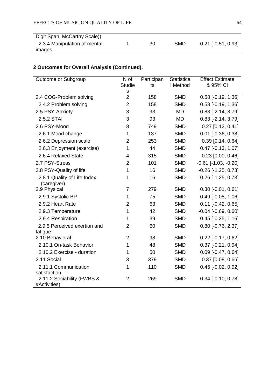| Digit Span, McCarthy Scale)) |    |     |                      |
|------------------------------|----|-----|----------------------|
|                              |    |     |                      |
| 2.3.4 Manipulation of mental | 30 | SMD | $0.21$ [-0.51, 0.93] |
|                              |    |     |                      |
| images                       |    |     |                      |

# **2 Outcomes for Overall Analysis (Continued).**

| Outcome or Subgroup                        | N of                         | Participan | <b>Statistica</b> | <b>Effect Estimate</b>                       |
|--------------------------------------------|------------------------------|------------|-------------------|----------------------------------------------|
|                                            | <b>Studie</b><br>$\mathbf S$ | ts         | I Method          | & 95% CI                                     |
| 2.4 COG-Problem solving                    | $\overline{2}$               | 158        | <b>SMD</b>        | $0.58$ [-0.19, 1.36]                         |
| 2.4.2 Problem solving                      | $\overline{2}$               | 158        | <b>SMD</b>        | $0.58$ [-0.19, 1.36]                         |
| 2.5 PSY-Anxiety                            | 3                            | 93         | <b>MD</b>         | $0.83$ [-2.14, 3.79]                         |
| 2.5.2 STAI                                 | 3                            | 93         | <b>MD</b>         | $0.83$ [-2.14, 3.79]                         |
| 2.6 PSY-Mood                               | 8                            | 749        | <b>SMD</b>        | $0.27$ [0.12, 0.41]                          |
| 2.6.1 Mood change                          | 1                            | 137        | <b>SMD</b>        | $0.01$ [-0.36, 0.38]                         |
| 2.6.2 Depression scale                     | 2                            | 253        | <b>SMD</b>        | $0.39$ [0.14, 0.64]                          |
| 2.6.3 Enjoyment (exercise)                 | 1                            | 44         | <b>SMD</b>        | $0.47$ [-0.13, 1.07]                         |
| 2.6.4 Relaxed State                        | 4                            | 315        | <b>SMD</b>        | $0.23$ [0.00, 0.46]                          |
| 2.7 PSY-Stress                             | $\overline{2}$               | 101        | <b>SMD</b>        | $-0.61$ $[-1.03, -0.20]$                     |
| 2.8 PSY-Quality of life                    | 1                            | 16         | <b>SMD</b>        | $-0.26$ [ $-1.25$ , $0.73$ ]                 |
| 2.8.1 Quality of Life Index<br>(caregiver) | 1                            | 16         | <b>SMD</b>        | $-0.26$ [ $-1.25$ , 0.73]                    |
| 2.9 Physical                               | $\overline{7}$               | 279        | <b>SMD</b>        | $0.30$ [-0.01, 0.61]                         |
| 2.9.1 Systolic BP                          | 1                            | 75         | <b>SMD</b>        | $0.49$ [-0.08, 1.06]                         |
| 2.9.2 Heart Rate                           | 2                            | 63         | <b>SMD</b>        | $0.11$ [-0.42, 0.65]                         |
| 2.9.3 Temperature                          | 1                            | 42         | <b>SMD</b>        | $-0.04$ $[-0.69, 0.60]$                      |
| 2.9.4 Respiration                          | 1                            | 39         | <b>SMD</b>        | $0.45$ [-0.25, 1.16]                         |
| 2.9.5 Perceived exertion and               | $\overline{2}$               | 60         | <b>SMD</b>        | $0.80$ [-0.76, 2.37]                         |
| fatigue<br>2.10 Behavioral                 | $\overline{2}$               | 98         | <b>SMD</b>        |                                              |
| 2.10.1 On-task Behavior                    | 1                            | 48         | <b>SMD</b>        | $0.22$ [-0.17, 0.62]<br>$0.37$ [-0.21, 0.94] |
|                                            |                              |            | <b>SMD</b>        |                                              |
| 2.10.2 Exercise - duration                 | 1                            | 50         |                   | $0.09$ [-0.47, 0.64]                         |
| 2.11 Social                                | 3                            | 379        | <b>SMD</b>        | $0.37$ [0.08, 0.66]                          |
| 2.11.1 Communication<br>satisfaction       | 1                            | 110        | <b>SMD</b>        | $0.45$ [-0.02, 0.92]                         |
| 2.11.2 Sociability (FWBS &<br>#Activities) | $\overline{2}$               | 269        | <b>SMD</b>        | $0.34$ [-0.10, 0.78]                         |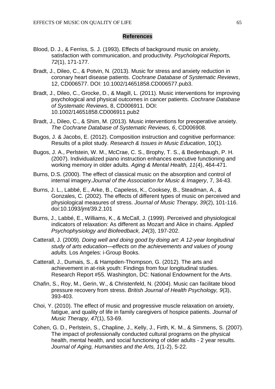### **References**

- Blood, D. J., & Ferriss, S. J. (1993). Effects of background music on anxiety, satisfaction with communication, and productivity. *Psychological Reports, 72*(1), 171-177.
- Bradt, J., Dileo, C., & Potvin, N. (2013). Music for stress and anxiety reduction in coronary heart disease patients. *Cochrane Database of Systematic Reviews*, 12, CD006577. DOI: 10.1002/14651858.CD006577.pub3.
- Bradt, J., Dileo, C., Grocke, D., & Magill, L. (2011). Music interventions for improving psychological and physical outcomes in cancer patients. *Cochrane Database of Systematic Reviews*, 8, CD006911. DOI: 10.1002/14651858.CD006911.pub2
- Bradt, J., Dileo, C., & Shim, M. (2013). Music interventions for preoperative anxiety. *The Cochrane Database of Systematic Reviews, 6*, CD006908.
- Bugos, J. & Jacobs, E. (2012). Composition instruction and cognitive performance: Results of a pilot study. *Research & Issues in Music Education*, 10(1).
- Bugos, J. A., Perlstein, W. M., McCrae, C. S., Brophy, T. S., & Bedenbaugh, P. H. (2007). Individualized piano instruction enhances executive functioning and working memory in older adults. *Aging & Mental Health, 11*(4), 464-471.
- Burns, D.S. (2000). The effect of classical music on the absorption and control of internal imagery.*Journal of the Association for Music & Imagery*, 7, 34-43.
- Burns, J. L., Labbé, E., Arke, B., Capeless, K., Cooksey, B., Steadman, A., & Gonzales, C. (2002). The effects of different types of music on perceived and physiological measures of stress. *Journal of Music Therapy, 39*(2), 101-116. doi:10.1093/jmt/39.2.101
- Burns, J., Labbé, E., Williams, K., & McCall, J. (1999). Perceived and physiological indicators of relaxation: As different as Mozart and Alice in chains. *Applied Psychophysiology and Biofeedback, 24*(3), 197-202.
- Catterall, J. (2009). *Doing well and doing good by doing art: A 12-year longitudinal study of arts education—effects on the achievements and values of young adults.* Los Angeles: i-Group Books.
- Catterall, J., Dumais, S., & Hampden-Thompson, G. (2012). The arts and achievement in at-risk youth: Findings from four longitudinal studies. Research Report #55. Washington, DC: National Endowment for the Arts.
- Chafin, S., Roy, M., Gerin, W., & Christenfeld, N. (2004). Music can facilitate blood pressure recovery from stress. *British Journal of Health Psychology, 9*(3), 393-403.
- Choi, Y. (2010). The effect of music and progressive muscle relaxation on anxiety, fatigue, and quality of life in family caregivers of hospice patients. *Journal of Music Therapy, 47*(1), 53-69.
- Cohen, G. D., Perlstein, S., Chapline, J., Kelly, J., Firth, K. M., & Simmens, S. (2007). The impact of professionally conducted cultural programs on the physical health, mental health, and social functioning of older adults - 2 year results. *Journal of Aging, Humanities and the Arts, 1*(1-2), 5-22.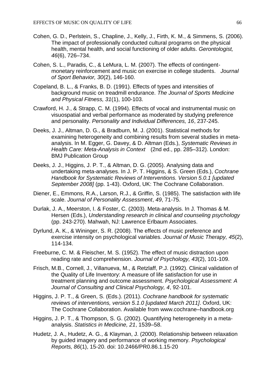- Cohen, G. D., Perlstein, S., Chapline, J., Kelly, J., Firth, K. M., & Simmens, S. (2006). The impact of professionally conducted cultural programs on the physical health, mental health, and social functioning of older adults. *Gerontologist, 46*(6), 726–734.
- Cohen, S. L., Paradis, C., & LeMura, L. M. (2007). The effects of contingentmonetary reinforcement and music on exercise in college students. *Journal of Sport Behavior, 30*(2), 146-160.
- Copeland, B. L., & Franks, B. D. (1991). Effects of types and intensities of background music on treadmill endurance. *The Journal of Sports Medicine and Physical Fitness, 31*(1), 100-103.
- Crawford, H. J., & Strapp, C. M. (1994). Effects of vocal and instrumental music on visuospatial and verbal performance as moderated by studying preference and personality. *Personality and Individual Differences, 16*, 237-245.
- Deeks, J. J., Altman, D. G., & Bradburn, M. J. (2001). Statistical methods for examining heterogeneity and combining results from several studies in metaanalysis. In M. Egger, G. Davey, & D. Altman (Eds.), *Systematic Reviews in Health Care: Meta-Analysis in Context* (2nd ed., pp. 285–312). London: BMJ Publication Group
- Deeks, J. J., Higgins, J. P. T., & Altman, D. G. (2005). Analysing data and undertaking meta-analyses. In J. P. T. Higgins, & S. Green (Eds.), *Cochrane Handbook for Systematic Reviews of Interventions. Version 5.0.1 [updated September 2008]* (pp. 1-43). Oxford, UK: The Cochrane Collaboration.
- Diener, E., Emmons, R.A., Larson, R.J., & Griffin, S. (1985). The satisfaction with life scale. *Journal of Personality Assessment*, *49*, 71-75.
- Durlak, J. A., Meerston, I. & Foster, C. (2003). Meta-analysis. In J. Thomas & M. Hersen (Eds.), *Understanding research in clinical and counseling psychology* (pp. 243-270). Mahwah, NJ: Lawrence Erlbaum Associates.
- Dyrlund, A. K., & Wininger, S. R. (2008). The effects of music preference and exercise intensity on psychological variables. *Journal of Music Therapy, 45*(2), 114-134.
- Freeburne, C. M. & Fleischer, M. S. (1952). The effect of music distraction upon reading rate and comprehension. *Journal of Psychology, 43*(2), 101-109.
- Frisch, M.B., Cornell, J., Villanueva, M., & Retzlaff, P.J. (1992). Clinical validation of the Quality of Life Inventory: A measure of life satisfaction for use in treatment planning and outcome assessment. *Psychological Assessment: A Journal of Consulting and Clinical Psychology, 4*, 92-101.
- Higgins, J. P. T., & Green, S. (Eds.). (2011). *Cochrane handbook for systematic reviews of interventions, version 5.1.0 [updated March 2011]*. Oxford, UK: The Cochrane Collaboration. Available from www.cochrane–handbook.org
- Higgins, J. P. T., & Thompson, S. G. (2002). Quantifying heterogeneity in a metaanalysis. *Statistics in Medicine, 21*, 1539–58.
- Hudetz, J. A., Hudetz, A. G., & Klayman, J. (2000). Relationship between relaxation by guided imagery and performance of working memory. *Psychological Reports, 86*(1), 15-20. doi: 10.2466/PR0.86.1.15-20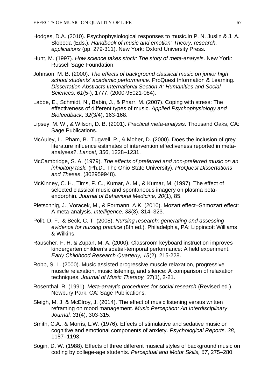- Hodges, D.A. (2010). Psychophysiological responses to music.In P. N. Juslin & J. A. Sloboda (Eds.), *Handbook of music and emotion: Theory, research, applications* (pp. 279-311). New York: Oxford University Press.
- Hunt, M. (1997). *How science takes stock: The story of meta-analysis*. New York: Russell Sage Foundation.
- Johnson, M. B. (2000). *The effects of background classical music on junior high school students' academic performance.* ProQuest Information & Learning. *Dissertation Abstracts International Section A: Humanities and Social Sciences, 61*(5-), 1777. (2000-95021-084).
- Labbe, E., Schmidt, N., Babin, J., & Pharr, M. (2007). Coping with stress: The effectiveness of different types of music. *Applied Psychophysiology and Biofeedback, 32*(3/4), 163-168.
- Lipsey, M. W., & Wilson, D. B. (2001). *Practical meta-analysis*. Thousand Oaks, CA: Sage Publications.
- McAuley, L., Pham, B., Tugwell, P., & Moher, D. (2000). Does the inclusion of grey literature influence estimates of intervention effectiveness reported in metaanalyses?. *Lancet,* 356, 1228–1231.
- McCambridge, S. A. (1979). *The effects of preferred and non-preferred music on an inhibitory task.* (Ph.D., The Ohio State University). *ProQuest Dissertations and Theses*. (302959948).
- McKinney, C. H., Tims, F. C., Kumar, A. M., & Kumar, M. (1997). The effect of selected classical music and spontaneous imagery on plasma betaendorphin. *Journal of Behavioral Medicine, 20*(1), 85.
- Pietschnig, J., Voracek, M., & Formann, A.K. (2010). Mozart effect–Shmozart effect: A meta-analysis. *Intelligence*, *38*(3), 314–323.
- Polit, D. F., & Beck, C. T. (2008). *Nursing research: generating and assessing evidence for nursing practice* (8th ed.). Philadelphia, PA: Lippincott Williams & Wilkins.
- Rauscher, F. H. & Zupan, M. A. (2000). Classroom keyboard instruction improves kindergarten children's spatial-temporal performance: A field experiment. *Early Childhood Research Quarterly, 15*(2), 215-228.
- Robb, S. L. (2000). Music assisted progressive muscle relaxation, progressive muscle relaxation, music listening, and silence: A comparison of relaxation techniques. *Journal of Music Therapy, 37*(1), 2-21.
- Rosenthal, R. (1991). *Meta-analytic procedures for social research* (Revised ed.). Newbury Park, CA: Sage Publications.
- Sleigh, M. J. & McElroy, J. (2014). The effect of music listening versus written reframing on mood management. *Music Perception: An Interdisciplinary Journal, 31*(4), 303-315.
- Smith, C.A., & Morris, L.W. (1976). Effects of stimulative and sedative music on cognitive and emotional components of anxiety. *Psychological Reports, 38*, 1187–1193.
- Sogin, D. W. (1988). Effects of three different musical styles of background music on coding by college-age students. *Perceptual and Motor Skills, 67*, 275–280.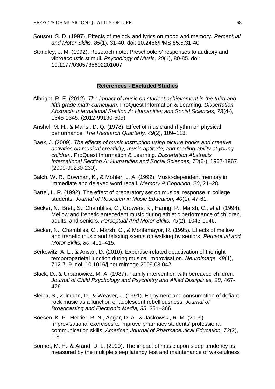- Sousou, S. D. (1997). Effects of melody and lyrics on mood and memory. *Perceptual and Motor Skills, 85*(1), 31-40. doi: 10.2466/PMS.85.5.31-40
- Standley, J. M. (1992). Research note: Preschoolers' responses to auditory and vibroacoustic stimuli. *Psychology of Music, 20*(1), 80-85. doi: 10.1177/0305735692201007

### **References - Excluded Studies**

- Albright, R. E. (2012). *The impact of music on student achievement in the third and fifth grade math curriculum.* ProQuest Information & Learning. *Dissertation Abstracts International Section A: Humanities and Social Sciences, 73*(4-), 1345-1345. (2012-99190-509).
- Anshel, M. H., & Marisi, D. Q. (1978). Effect of music and rhythm on physical performance. *The Research Quarterly, 49*(2), 109–113.
- Baek, J. (2009). *The effects of music instruction using picture books and creative activities on musical creativity, music aptitude, and reading ability of young children.* ProQuest Information & Learning. *Dissertation Abstracts International Section A: Humanities and Social Sciences, 70*(6-), 1967-1967. (2009-99230-230).
- Balch, W. R., Bowman, K., & Mohler, L. A. (1992). Music-dependent memory in immediate and delayed word recall. *Memory & Cognition, 20*, 21–28.
- Bartel, L. R. (1992). The effect of preparatory set on musical response in college students. *Journal of Research in Music Education, 40*(1), 47-61.
- Becker, N., Brett, S., Chambliss, C., Crowers, K., Haring, P., Marsh, C., et al. (1994). Mellow and frenetic antecedent music during athletic performance of children, adults, and seniors. *Perceptual And Motor Skills, 79*(2), 1043-1046.
- Becker, N., Chambliss, C., Marsh, C., & Montemayor, R. (1995). Effects of mellow and frenetic music and relaxing scents on walking by seniors. *Perceptual and Motor Skills, 80*, 411–415.
- Berkowitz, A. L., & Ansari, D. (2010). Expertise-related deactivation of the right temporoparietal junction during musical improvisation. *NeuroImage, 49*(1), 712-719. doi: 10.1016/j.neuroimage.2009.08.042
- Black, D., & Urbanowicz, M. A. (1987). Family intervention with bereaved children. *Journal of Child Psychology and Psychiatry and Allied Disciplines, 28*, 467- 476.
- Bleich, S., Zillmann, D., & Weaver, J. (1991). Enjoyment and consumption of defiant rock music as a function of adolescent rebelliousness. *Journal of Broadcasting and Electronic Media, 35*, 351–366.
- Boesen, K. P., Herrier, R. N., Apgar, D. A., & Jackowski, R. M. (2009). Improvisational exercises to improve pharmacy students' professional communication skills. *American Journal of Pharmaceutical Education, 73*(2), 1-8.
- Bonnet, M. H., & Arand, D. L. (2000). The impact of music upon sleep tendency as measured by the multiple sleep latency test and maintenance of wakefulness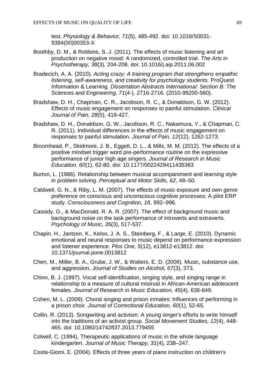test. *Physiology & Behavior, 71*(5), 485-492. doi: 10.1016/S0031- 9384(00)00353-X

- Boothby, D. M., & Robbins, S. J. (2011). The effects of music listening and art production on negative mood: A randomized, controlled trial. *The Arts in Psychotherapy, 38*(3), 204-208. doi: 10.1016/j.aip.2011.06.002
- Bradecich, A. A. (2010). *Acting crazy: A training program that strengthens empathic listening, self-awareness, and creativity for psychology students.* ProQuest Information & Learning. *Dissertation Abstracts International: Section B: The Sciences and Engineering, 71*(4-), 2716-2716. (2010-99200-560).
- Bradshaw, D. H., Chapman, C. R., Jacobson, R. C., & Donaldson, G. W. (2012). Effects of music engagement on responses to painful stimulation. *Clinical Journal of Pain, 28*(5), 418-427.
- Bradshaw, D. H., Donaldson, G. W., Jacobson, R. C., Nakamura, Y., & Chapman, C. R. (2011). Individual differences in the effects of music engagement on responses to painful stimulation. *Journal of Pain, 12*(12), 1262-1273.
- Broomhead, P., Skidmore, J. B., Eggett, D. L., & Mills, M. M. (2012). The effects of a positive mindset trigger word pre-performance routine on the expressive performance of junior high age singers. *Journal of Research in Music Education, 60*(1), 62-80. doi: 10.1177/0022429411435363
- Burton, L. (1986). Relationship between musical accompaniment and learning style in problem solving. *Perceptual and Motor Skills, 62*, 48–50.
- Caldwell, G. N., & Riby, L. M. (2007). The effects of music exposure and own genre preference on conscious and unconscious cognitive processes: A pilot ERP study. *Consciousness and Cognition, 16*, 992–996.
- Cassidy, G., & MacDonald, R. A. R. (2007). The effect of background music and background noise on the task performance of introverts and extraverts. *Psychology of Music, 35*(3), 517-537.
- Chapin, H., Jantzen, K., Kelso, J. A. S., Steinberg, F., & Large, E. (2010). Dynamic emotional and neural responses to music depend on performance expression and listener experience. *Plos One, 5*(12), e13812-e13812. doi: 10.1371/journal.pone.0013812
- Chen, M., Miller, B. A., Grube, J. W., & Waiters, E. D. (2006). Music, substance use, and aggression. *Journal of Studies on Alcohol, 67*(3), 373.
- Chinn, B. J. (1997). Vocal self-identification, singing style, and singing range in relationship to a measure of cultural mistrust in African-American adolescent females. *Journal of Research in Music Education, 45*(4), 636-649.
- Cohen, M. L. (2009). Choral singing and prison inmates: Influences of performing in a prison choir. *Journal of Correctional Education, 60*(1), 52-65.
- Collin, R. (2013). Songwriting and activism: A young singer's efforts to write himself into the traditions of an activist group. *Social Movement Studies, 12*(4), 448- 465. doi: 10.1080/14742837.2013.779455
- Colwell, C. (1994). Therapeutic applications of music in the whole language kindergarten. *Journal of Music Therapy, 31*(4), 238–247.
- Costa-Giomi, E. (2004). Effects of three years of piano instruction on children's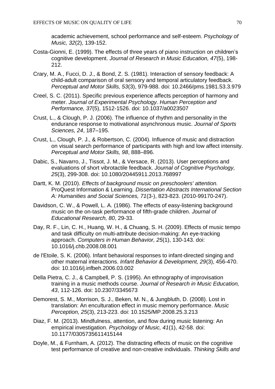academic achievement, school performance and self-esteem. *Psychology of Music, 32*(2), 139-152.

- Costa-Gionni, E. (1999). The effects of three years of piano instruction on children's cognitive development. *Journal of Research in Music Education, 47*(5), 198- 212.
- Crary, M. A., Fucci, D. J., & Bond, Z. S. (1981). Interaction of sensory feedback: A child-adult comparison of oral sensory and temporal articulatory feedback. *Perceptual and Motor Skills, 53*(3), 979-988. doi: 10.2466/pms.1981.53.3.979
- Creel, S. C. (2011). Specific previous experience affects perception of harmony and meter. *Journal of Experimental Psychology. Human Perception and Performance, 37*(5), 1512-1526. doi: 10.1037/a0023507
- Crust, L., & Clough, P. J. (2006). The influence of rhythm and personality in the endurance response to motivational asynchronous music. *Journal of Sports Sciences, 24*, 187–195.
- Crust, L., Clough, P. J., & Robertson, C. (2004). Influence of music and distraction on visual search performance of participants with high and low affect intensity. *Perceptual and Motor Skills, 98*, 888–896.
- Dabic, S., Navarro, J., Tissot, J. M., & Versace, R. (2013). User perceptions and evaluations of short vibrotactile feedback. *Journal of Cognitive Psychology, 25*(3), 299-308. doi: 10.1080/20445911.2013.768997
- Dartt, K. M. (2010). *Effects of background music on preschoolers' attention.*  ProQuest Information & Learning. *Dissertation Abstracts International Section A: Humanities and Social Sciences, 71*(3-), 823-823. (2010-99170-247).
- Davidson, C. W., & Powell, L. A. (1986). The effects of easy-listening background music on the on-task performance of fifth-grade children. *Journal of Educational Research, 80*, 29-33.
- Day, R. F., Lin, C. H., Huang, W. H., & Chuang, S. H. (2009). Effects of music tempo and task difficulty on multi-attribute decision-making: An eye-tracking approach. *Computers in Human Behavior, 25*(1), 130-143. doi: 10.1016/j.chb.2008.08.001
- de l'Etoile, S. K. (2006). Infant behavioral responses to infant-directed singing and other maternal interactions. *Infant Behavior & Development, 29*(3), 456-470. doi: 10.1016/j.infbeh.2006.03.002
- Della Pietra, C. J., & Campbell, P. S. (1995). An ethnography of improvisation training in a music methods course. *Journal of Research in Music Education, 43*, 112-126. doi: 10.2307/3345673
- Demorest, S. M., Morrison, S. J., Beken, M. N., & Jungbluth, D. (2008). Lost in translation: An enculturation effect in music memory performance. *Music Perception, 25*(3), 213-223. doi: 10.1525/MP.2008.25.3.213
- Diaz, F. M. (2013). Mindfulness, attention, and flow during music listening: An empirical investigation. *Psychology of Music, 41*(1), 42-58. doi: 10.1177/0305735611415144
- Doyle, M., & Furnham, A. (2012). The distracting effects of music on the cognitive test performance of creative and non-creative individuals. *Thinking Skills and*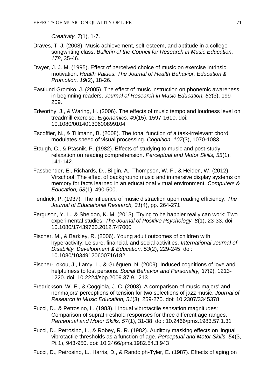*Creativity, 7*(1), 1-7.

- Draves, T. J. (2008). Music achievement, self-esteem, and aptitude in a college songwriting class. *Bulletin of the Council for Research in Music Education, 178*, 35-46.
- Dwyer, J. J. M. (1995). Effect of perceived choice of music on exercise intrinsic motivation. *Health Values: The Journal of Health Behavior, Education & Promotion, 19*(2), 18-26.
- Eastlund Gromko, J. (2005). The effect of music instruction on phonemic awareness in beginning readers. *Journal of Research in Music Education, 53*(3), 199- 209.
- Edworthy, J., & Waring, H. (2006). The effects of music tempo and loudness level on treadmill exercise. *Ergonomics, 49*(15), 1597-1610. doi: 10.1080/00140130600899104
- Escoffier, N., & Tillmann, B. (2008). The tonal function of a task-irrelevant chord modulates speed of visual processing. *Cognition, 107*(3), 1070-1083.
- Etaugh, C., & Ptasnik, P. (1982). Effects of studying to music and post-study relaxation on reading comprehension. *Perceptual and Motor Skills, 55*(1), 141-142.
- Fassbender, E., Richards, D., Bilgin, A., Thompson, W. F., & Heiden, W. (2012). Virschool: The effect of background music and immersive display systems on memory for facts learned in an educational virtual environment. *Computers & Education, 58*(1), 490-500.
- Fendrick, P. (1937). The influence of music distraction upon reading efficiency. *The Journal of Educational Research, 31*(4), pp. 264-271.
- Ferguson, Y. L., & Sheldon, K. M. (2013). Trying to be happier really can work: Two experimental studies. *The Journal of Positive Psychology, 8*(1), 23-33. doi: 10.1080/17439760.2012.747000
- Fischer, M., & Barkley, R. (2006). Young adult outcomes of children with hyperactivity: Leisure, financial, and social activities. *International Journal of Disability, Development & Education, 53*(2), 229-245. doi: 10.1080/10349120600716182
- Fischer-Lokou, J., Lamy, L., & Guéguen, N. (2009). Induced cognitions of love and helpfulness to lost persons. *Social Behavior and Personality, 37*(9), 1213- 1220. doi: 10.2224/sbp.2009.37.9.1213
- Fredrickson, W. E., & Coggiola, J. C. (2003). A comparison of music majors' and nonmajors' perceptions of tension for two selections of jazz music. *Journal of Research in Music Education, 51*(3), 259-270. doi: 10.2307/3345378
- Fucci, D., & Petrosino, L. (1983). Lingual vibrotactile sensation magnitudes: Comparison of suprathreshold responses for three different age ranges. *Perceptual and Motor Skills, 57*(1), 31-38. doi: 10.2466/pms.1983.57.1.31
- Fucci, D., Petrosino, L., & Robey, R. R. (1982). Auditory masking effects on lingual vibrotactile thresholds as a function of age. *Perceptual and Motor Skills, 54*(3, Pt 1), 943-950. doi: 10.2466/pms.1982.54.3.943
- Fucci, D., Petrosino, L., Harris, D., & Randolph-Tyler, E. (1987). Effects of aging on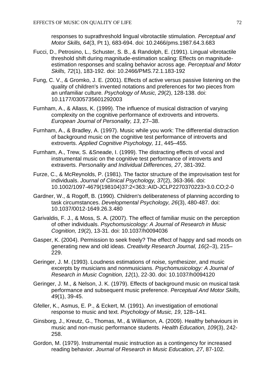responses to suprathreshold lingual vibrotactile stimulation. *Perceptual and Motor Skills, 64*(3, Pt 1), 683-694. doi: 10.2466/pms.1987.64.3.683

- Fucci, D., Petrosino, L., Schuster, S. B., & Randolph, E. (1991). Lingual vibrotactile threshold shift during magnitude-estimation scaling: Effects on magnitudeestimation responses and scaling behavior across age. *Perceptual and Motor Skills, 72*(1), 183-192. doi: 10.2466/PMS.72.1.183-192
- Fung, C. V., & Gromko, J. E. (2001). Effects of active versus passive listening on the quality of children's invented notations and preferences for two pieces from an unfamiliar culture. *Psychology of Music, 29*(2), 128-138. doi: 10.1177/0305735601292003
- Furnham, A., & Allass, K. (1999). The influence of musical distraction of varying complexity on the cognitive performance of extroverts and introverts. *European Journal of Personality, 13*, 27–38.
- Furnham, A., & Bradley, A. (1997). Music while you work: The differential distraction of background music on the cognitive test performance of introverts and extroverts. *Applied Cognitive Psychology, 11*, 445–455.
- Furnham, A., Trew, S. &Sneade, I. (1999). The distracting effects of vocal and instrumental music on the cognitive test performance of introverts and extraverts. *Personality and Individual Differences, 27*, 381-392.
- Furze, C., & McReynolds, P. (1981). The factor structure of the improvisation test for individuals. *Journal of Clinical Psychology, 37*(2), 363-366. doi: 10.1002/1097-4679(198104)37:2<363::AID-JCLP2270370223>3.0.CO;2-0
- Gardner, W., & Rogoff, B. (1990). Children's deliberateness of planning according to task circumstances. *Developmental Psychology, 26*(3), 480-487. doi: 10.1037/0012-1649.26.3.480
- Garivaldis, F. J., & Moss, S. A. (2007). The effect of familiar music on the perception of other individuals. *Psychomusicology: A Journal of Research in Music Cognition, 19*(2), 13-31. doi: 10.1037/h0094036
- Gasper, K. (2004). Permission to seek freely? The effect of happy and sad moods on generating new and old ideas. *Creativity Research Journal, 16*(2–3), 215– 229.
- Geringer, J. M. (1993). Loudness estimations of noise, synthesizer, and music excerpts by musicians and nonmusicians. *Psychomusicology: A Journal of Research in Music Cognition, 12*(1), 22-30. doi: 10.1037/h0094120
- Geringer, J. M., & Nelson, J. K. (1979). Effects of background music on musical task performance and subsequent music preference. *Perceptual And Motor Skills, 49*(1), 39-45.
- Gfeller, K., Asmus, E. P., & Eckert, M. (1991). An investigation of emotional response to music and text. *Psychology of Music, 19*, 128–141.
- Ginsborg, J., Kreutz, G., Thomas, M., & Williamon, A. (2009). Healthy behaviours in music and non-music performance students. *Health Education, 109*(3), 242- 258.
- Gordon, M. (1979). Instrumental music instruction as a contingency for increased reading behavior. *Journal of Research in Music Education, 27*, 87-102.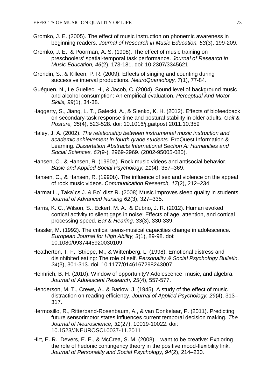- Gromko, J. E. (2005). The effect of music instruction on phonemic awareness in beginning readers. *Journal of Research in Music Education, 53*(3), 199-209.
- Gromko, J. E., & Poorman, A. S. (1998). The effect of music training on preschoolers' spatial-temporal task performance. *Journal of Research in Music Education, 46*(2), 173-181. doi: 10.2307/3345621
- Grondin, S., & Killeen, P. R. (2009). Effects of singing and counting during successive interval productions. *NeuroQuantology, 7*(1), 77-84.
- Guéguen, N., Le Guellec, H., & Jacob, C. (2004). Sound level of background music and alcohol consumption: An empirical evaluation. *Perceptual And Motor Skills, 99*(1), 34-38.
- Haggerty, S., Jiang, L. T., Galecki, A., & Sienko, K. H. (2012). Effects of biofeedback on secondary-task response time and postural stability in older adults. *Gait & Posture, 35*(4), 523-528. doi: 10.1016/j.gaitpost.2011.10.359
- Haley, J. A. (2002). *The relationship between instrumental music instruction and academic achievement in fourth grade students.* ProQuest Information & Learning. *Dissertation Abstracts International Section A: Humanities and Social Sciences, 62*(9-), 2969-2969. (2002-95005-080).
- Hansen, C., & Hansen, R. (1990a). Rock music videos and antisocial behavior. *Basic and Applied Social Psychology, 11*(4), 357–369.
- Hansen, C., & Hansen, R. (1990b). The influence of sex and violence on the appeal of rock music videos. *Communication Research, 17*(2), 212–234.
- Harmat L., Taka´cs J. & Bo´ disz R. (2008) Music improves sleep quality in students. *Journal of Advanced Nursing 62*(3), 327–335.
- Harris, K. C., Wilson, S., Eckert, M. A., & Dubno, J. R. (2012). Human evoked cortical activity to silent gaps in noise: Effects of age, attention, and cortical processing speed. *Ear & Hearing, 33*(3), 330-339.
- Hassler, M. (1992). The critical teens-musical capacities change in adolescence. *European Journal for High Ability, 3*(1), 89-98. doi: 10.1080/0937445920030109
- Heatherton, T. F., Striepe, M., & Wittenberg, L. (1998). Emotional distress and disinhibited eating: The role of self. *Personality & Social Psychology Bulletin, 24*(3), 301-313. doi: 10.1177/0146167298243007
- Helmrich, B. H. (2010). Window of opportunity? Adolescence, music, and algebra. *Journal of Adolescent Research, 25*(4), 557-577.
- Henderson, M. T., Crews, A., & Barlow, J. (1945). A study of the effect of music distraction on reading efficiency. *Journal of Applied Psychology, 29*(4), 313– 317.
- Hermosillo, R., Ritterband-Rosenbaum, A., & van Donkelaar, P. (2011). Predicting future sensorimotor states influences current temporal decision making. *The Journal of Neuroscience, 31*(27), 10019-10022. doi: 10.1523/JNEUROSCI.0037-11.2011
- Hirt, E. R., Devers, E. E., & McCrea, S. M. (2008). I want to be creative: Exploring the role of hedonic contingency theory in the positive mood-flexibility link. *Journal of Personality and Social Psychology, 94*(2), 214–230.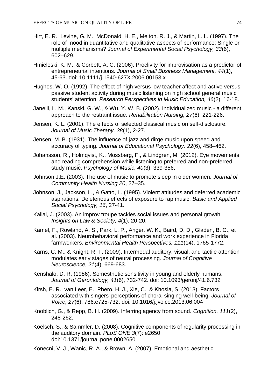- Hirt, E. R., Levine, G. M., McDonald, H. E., Melton, R. J., & Martin, L. L. (1997). The role of mood in quantitative and qualitative aspects of performance: Single or multiple mechanisms? *Journal of Experimental Social Psychology, 33*(6), 602–629.
- Hmieleski, K. M., & Corbett, A. C. (2006). Proclivity for improvisation as a predictor of entrepreneurial intentions. *Journal of Small Business Management, 44*(1), 45-63. doi: 10.1111/j.1540-627X.2006.00153.x
- Hughes, W. O. (1992). The effect of high versus low teacher affect and active versus passive student activity during music listening on high school general music students' attention. *Research Perspectives in Music Education, 46*(2), 16-18.
- Janelli, L. M., Kanski, G. W., & Wu, Y. W. B. (2002). Individualized music a different approach to the restraint issue. *Rehabilitation Nursing, 27*(6), 221-226.
- Jensen, K. L. (2001). The effects of selected classical music on self-disclosure. *Journal of Music Therapy, 38*(1), 2-27.
- Jensen, M. B. (1931). The influence of jazz and dirge music upon speed and accuracy of typing. *Journal of Educational Psychology, 22*(6), 458–462.
- Johansson, R., Holmqvist, K., Mossberg, F., & Lindgren, M. (2012). Eye movements and reading comprehension while listening to preferred and non-preferred study music. *Psychology of Music, 40*(3), 339-356.
- Johnson J.E. (2003). The use of music to promote sleep in older women. *Journal of Community Health Nursing 20*, 27–35.
- Johnson, J., Jackson, L., & Gatto, L. (1995). Violent attitudes and deferred academic aspirations: Deleterious effects of exposure to rap music. *Basic and Applied Social Psychology, 16*, 27-41.
- Kallal, J. (2003). An improv troupe tackles social issues and personal growth. *Insights on Law & Society, 4*(1), 20-20.
- Kamel, F., Rowland, A. S., Park, L. P., Anger, W. K., Baird, D. D., Gladen, B. C., et al. (2003). Neurobehavioral performance and work experience in Florida farmworkers. *Environmental Health Perspectives, 111*(14), 1765-1772.
- Karns, C. M., & Knight, R. T. (2009). Intermodal auditory, visual, and tactile attention modulates early stages of neural processing. *Journal of Cognitive Neuroscience, 21*(4), 669-683.
- Kenshalo, D. R. (1986). Somesthetic sensitivity in young and elderly humans. *Journal of Gerontology, 41*(6), 732-742. doi: 10.1093/geronj/41.6.732
- Kirsh, E. R., van Leer, E., Phero, H. J., Xie, C., & Khosla, S. (2013). Factors associated with singers' perceptions of choral singing well-being. *Journal of Voice, 27*(6), 786.e725-732. doi: 10.1016/j.jvoice.2013.06.004
- Knoblich, G., & Repp, B. H. (2009). Inferring agency from sound. *Cognition, 111*(2), 248-262.
- Koelsch, S., & Sammler, D. (2008). Cognitive components of regularity processing in the auditory domain. *PLoS ONE 3*(7): e2650. doi:10.1371/journal.pone.0002650
- Konecni, V. J., Wanic, R. A., & Brown, A. (2007). Emotional and aesthetic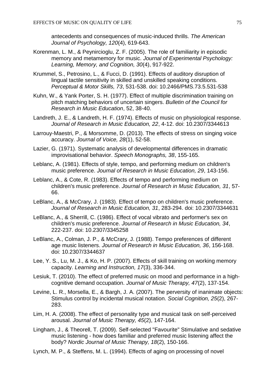antecedents and consequences of music-induced thrills. *The American Journal of Psychology, 120*(4), 619-643.

- Korenman, L. M., & Peynircioglu, Z. F. (2005). The role of familiarity in episodic memory and metamemory for music. *Journal of Experimental Psychology: Learning, Memory, and Cognition, 30*(4), 917-922.
- Krummel, S., Petrosino, L., & Fucci, D. (1991). Effects of auditory disruption of lingual tactile sensitivity in skilled and unskilled speaking conditions. *Perceptual & Motor Skills, 73*, 531-538. doi: 10.2466/PMS.73.5.531-538
- Kuhn, W., & Yank Porter, S. H. (1977). Effect of multiple discrimination training on pitch matching behaviors of uncertain singers. *Bulletin of the Council for Research in Music Education*, 52, 38-40.
- Landreth, J. E., & Landreth, H. F. (1974). Effects of music on physiological response. *Journal of Research in Music Education, 22*, 4-12. doi: 10.2307/3344613
- Larrouy-Maestri, P., & Morsomme, D. (2013). The effects of stress on singing voice accuracy. *Journal of Voice, 28*(1), 52-58.
- Lazier, G. (1971). Systematic analysis of developmental differences in dramatic improvisational behavior. *Speech Monographs, 38*, 155-165.
- Leblanc, A. (1981). Effects of style, tempo, and performing medium on children's music preference. *Journal of Research in Music Education, 29*, 143-156.
- Leblanc, A., & Cote, R. (1983). Effects of tempo and performing medium on children's music preference. *Journal of Research in Music Education, 31*, 57- 66.
- LeBlanc, A., & McCrary, J. (1983). Effect of tempo on children's music preference. *Journal of Research in Music Education, 31*, 283-294. doi: 10.2307/3344631
- LeBlanc, A., & Sherrill, C. (1986). Effect of vocal vibrato and performer's sex on children's music preference. *Journal of Research in Music Education, 34*, 222-237. doi: 10.2307/3345258
- LeBlanc, A., Colman, J. P., & McCrary, J. (1988). Tempo preferences of different age music listeners. *Journal of Research in Music Education, 36*, 156-168. doi: 10.2307/3344637
- Lee, Y. S., Lu, M. J., & Ko, H. P. (2007). Effects of skill training on working memory capacity. *Learning and Instruction, 17*(3), 336-344.
- Lesiuk, T. (2010). The effect of preferred music on mood and performance in a highcognitive demand occupation. *Journal of Music Therapy, 47*(2), 137-154.
- Levine, L. R., Morsella, E., & Bargh, J. A. (2007). The perversity of inanimate objects: Stimulus control by incidental musical notation. *Social Cognition, 25*(2), 267- 283.
- Lim, H. A. (2008). The effect of personality type and musical task on self-perceived arousal. *Journal of Music Therapy, 45*(2), 147-164.
- Lingham, J., & Theorell, T. (2009). Self-selected "Favourite" Stimulative and sedative music listening - how does familiar and preferred music listening affect the body? *Nordic Journal of Music Therapy, 18*(2), 150-166.
- Lynch, M. P., & Steffens, M. L. (1994). Effects of aging on processing of novel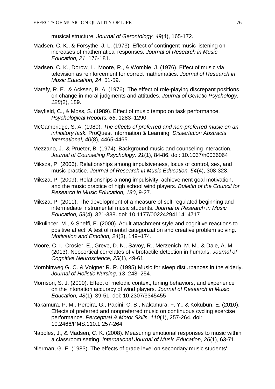musical structure. *Journal of Gerontology, 49*(4), 165-172.

- Madsen, C. K., & Forsythe, J. L. (1973). Effect of contingent music listening on increases of mathematical responses. *Journal of Research in Music Education, 21*, 176-181.
- Madsen, C. K., Dorow, L., Moore, R., & Womble, J. (1976). Effect of music via television as reinforcement for correct mathematics. *Journal of Research in Music Education, 24*, 51-59.
- Matefy, R. E., & Acksen, B. A. (1976). The effect of role-playing discrepant positions on change in moral judgments and attitudes. *Journal of Genetic Psychology, 128*(2), 189.
- Mayfield, C., & Moss, S. (1989). Effect of music tempo on task performance. *Psychological Reports, 65*, 1283–1290.
- McCambridge, S. A. (1980). *The effects of preferred and non-preferred music on an inhibitory task.* ProQuest Information & Learning. *Dissertation Abstracts International, 40*(8), 4465-4465.
- Mezzano, J., & Prueter, B. (1974). Background music and counseling interaction. *Journal of Counseling Psychology, 21*(1), 84-86. doi: 10.1037/h0036064
- Miksza, P. (2006). Relationships among impulsiveness, locus of control, sex, and music practice. *Journal of Research in Music Education, 54*(4), 308-323.
- Miksza, P. (2009). Relationships among impulsivity, achievement goal motivation, and the music practice of high school wind players. *Bulletin of the Council for Research in Music Education, 180*, 9-27.
- Miksza, P. (2011). The development of a measure of self-regulated beginning and intermediate instrumental music students. *Journal of Research in Music Education, 59*(4), 321-338. doi: 10.1177/0022429411414717
- Mikulincer, M., & Sheffi, E. (2000). Adult attachment style and cognitive reactions to positive affect: A test of mental categorization and creative problem solving. *Motivation and Emotion, 24*(3), 149–174.
- Moore, C. I., Crosier, E., Greve, D. N., Savoy, R., Merzenich, M. M., & Dale, A. M. (2013). Neocortical correlates of vibrotactile detection in humans. *Journal of Cognitive Neuroscience, 25*(1), 49-61.
- Mornhinweg G. C. & Voigner R. R. (1995) Music for sleep disturbances in the elderly. *Journal of Holistic Nursing, 13*, 248–254.
- Morrison, S. J. (2000). Effect of melodic context, tuning behaviors, and experience on the intonation accuracy of wind players. *Journal of Research in Music Education, 48*(1), 39-51. doi: 10.2307/3345455
- Nakamura, P. M., Pereira, G., Papini, C. B., Nakamura, F. Y., & Kokubun, E. (2010). Effects of preferred and nonpreferred music on continuous cycling exercise performance. *Perceptual & Motor Skills, 110*(1), 257-264. doi: 10.2466/PMS.110.1.257-264
- Napoles, J., & Madsen, C. K. (2008). Measuring emotional responses to music within a classroom setting. *International Journal of Music Education, 26*(1), 63-71.
- Nierman, G. E. (1983). The effects of grade level on secondary music students'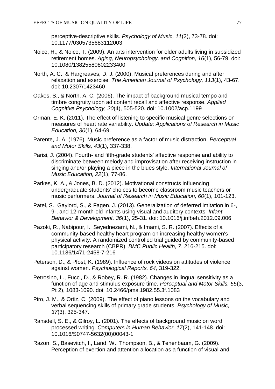perceptive-descriptive skills. *Psychology of Music, 11*(2), 73-78. doi: 10.1177/0305735683112003

- Noice, H., & Noice, T. (2009). An arts intervention for older adults living in subsidized retirement homes. *Aging, Neuropsychology, and Cognition, 16*(1), 56-79. doi: 10.1080/13825580802233400
- North, A. C., & Hargreaves, D. J. (2000). Musical preferences during and after relaxation and exercise. *The American Journal of Psychology, 113*(1), 43-67. doi: 10.2307/1423460
- Oakes, S., & North, A. C. (2006). The impact of background musical tempo and timbre congruity upon ad content recall and affective response. *Applied Cognitive Psychology, 20*(4), 505-520. doi: 10.1002/acp.1199
- Orman, E. K. (2011). The effect of listening to specific musical genre selections on measures of heart rate variability. *Update: Applications of Research in Music Education, 30*(1), 64-69.
- Parente, J. A. (1976). Music preference as a factor of music distraction. *Perceptual and Motor Skills, 43*(1), 337-338.
- Parisi, J. (2004). Fourth- and fifth-grade students' affective response and ability to discriminate between melody and improvisation after receiving instruction in singing and/or playing a piece in the blues style. *International Journal of Music Education, 22*(1), 77-86.
- Parkes, K. A., & Jones, B. D. (2012). Motivational constructs influencing undergraduate students' choices to become classroom music teachers or music performers. *Journal of Research in Music Education, 60*(1), 101-123.
- Patel, S., Gaylord, S., & Fagen, J. (2013). Generalization of deferred imitation in 6-, 9-, and 12-month-old infants using visual and auditory contexts. *Infant Behavior & Development, 36*(1), 25-31. doi: 10.1016/j.infbeh.2012.09.006
- Pazoki, R., Nabipour, I., Seyednezami, N., & Imami, S. R. (2007). Effects of a community-based healthy heart program on increasing healthy women's physical activity: A randomized controlled trial guided by community-based participatory research (CBPR). *BMC Public Health, 7*, 216-215. doi: 10.1186/1471-2458-7-216
- Peterson, D., & Pfost, K. (1989). Influence of rock videos on attitudes of violence against women. *Psychological Reports, 64,* 319-322.
- Petrosino, L., Fucci, D., & Robey, R. R. (1982). Changes in lingual sensitivity as a function of age and stimulus exposure time. *Perceptual and Motor Skills, 55*(3, Pt 2), 1083-1090. doi: 10.2466/pms.1982.55.3f.1083
- Piro, J. M., & Ortiz, C. (2009). The effect of piano lessons on the vocabulary and verbal sequencing skills of primary grade students. *Psychology of Music, 37*(3), 325-347.
- Ransdell, S. E., & Gilroy, L. (2001). The effects of background music on word processed writing. *Computers in Human Behavior, 17*(2), 141-148. doi: 10.1016/S0747-5632(00)00043-1
- Razon, S., Basevitch, I., Land, W., Thompson, B., & Tenenbaum, G. (2009). Perception of exertion and attention allocation as a function of visual and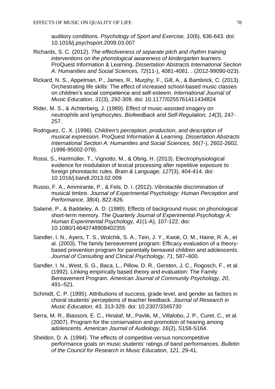auditory conditions. *Psychology of Sport and Exercise, 10*(6), 636-643. doi: 10.1016/j.psychsport.2009.03.007

- Richards, S. C. (2012). *The effectiveness of separate pitch and rhythm training interventions on the phonological awareness of kindergarten learners.*  ProQuest Information & Learning. *Dissertation Abstracts International Section A: Humanities and Social Sciences, 72*(11-), 4081-4081. . (2012-99090-023).
- Rickard, N. S., Appelman, P., James, R., Murphy, F., Gill, A., & Bambrick, C. (2013). Orchestrating life skills: The effect of increased school-based music classes on children's social competence and self-esteem. *International Journal of Music Education, 31*(3), 292-309. doi: 10.1177/0255761411434824
- Rider, M. S., & Achterberg, J. (1989). Effect of music-assisted imagery on neutrophils and lymphocytes. *Biofeedback and Self-Regulation, 14*(3), 247- 257.
- Rodriguez, C. X. (1996). *Children's perception, production, and description of musical expression.* ProQuest Information & Learning. *Dissertation Abstracts International Section A: Humanities and Social Sciences, 56*(7-), 2602-2602. (1996-95002-079).
- Rossi, S., Hartmüller, T., Vignotto, M., & Obrig, H. (2013). Electrophysiological evidence for modulation of lexical processing after repetitive exposure to foreign phonotactic rules. *Brain & Language, 127*(3), 404-414. doi: 10.1016/j.bandl.2013.02.009
- Russo, F. A., Ammirante, P., & Fels, D. I. (2012). Vibrotactile discrimination of musical timbre. *Journal of Experimental Psychology: Human Perception and Performance, 38*(4), 822-826.
- Salamé, P., & Baddeley, A. D. (1989). Effects of background music on phonological short-term memory. *The Quarterly Journal of Experimental Psychology A: Human Experimental Psychology, 41*(1-A), 107-122. doi: 10.1080/14640748908402355
- Sandler, I. N., Ayers, T. S., Wolchik, S. A., Tein, J. Y., Kwok, O. M., Haine, R. A., et al. (2003). The family bereavement program: Efficacy evaluation of a theorybased prevention program for parentally bereaved children and adolescents. *Journal of Consulting and Clinical Psychology, 71*, 587–600.
- Sandler, I. N., West, S. G., Baca, L., Pillow, D. R., Gersten, J. C., Rogosch, F., et al. (1992). Linking empirically based theory and evaluation: The Family Bereavement Program. *American Journal of Community Psychology, 20*, 491–521.
- Schmidt, C. P. (1995). Attributions of success, grade level, and gender as factors in choral students' perceptions of teacher feedback. *Journal of Research in Music Education, 43*, 313-329. doi: 10.2307/3345730
- Serra, M. R., Biassoni, E. C., Hinalaf, M., Pavlik, M., Villalobo, J. P., Curet, C., et al. (2007). Program for the conservation and promotion of hearing among adolescents. *American Journal of Audiology, 16*(2), S158-S164.
- Sheldon, D. A. (1994). The effects of competitive versus noncompetitive performance goals on music students' ratings of band performances. *Bulletin of the Council for Research in Music Education, 121*, 29-41.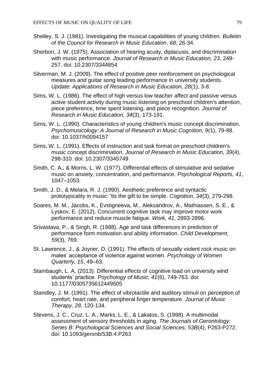- Shelley, S. J. (1981). Investigating the musical capabilities of young children. *Bulletin of the Council for Research in Music Education*, *68*, 26-34.
- Sherbon, J. W. (1975). Association of hearing acuity, diplacusis, and discrimination with music performance. *Journal of Research in Music Education, 23*, 249- 257. doi: 10.2307/3344854
- Silverman, M. J. (2009). The effect of positive peer reinforcement on psychological measures and guitar song leading performance in university students. *Update: Applications of Research in Music Education, 28*(1), 3-8.
- Sims, W. L. (1986). The effect of high versus low teacher affect and passive versus active student activity during music listening on preschool children's attention, piece preference, time spent listening, and piece recognition. *Journal of Research in Music Education, 34*(3), 173-191.
- Sims, W. L. (1990). Characteristics of young children's music concept discrimination. *Psychomusicology: A Journal of Research in Music Cognition, 9*(1), 79-88. doi: 10.1037/h0094157
- Sims, W. L. (1991). Effects of instruction and task format on preschool children's music concept discrimination. *Journal of Research in Music Education, 39*(4), 298-310. doi: 10.2307/3345749
- Smith, C. A., & Morris, L. W. (1977). Differential effects of stimulative and sedative music on anxiety, concentration, and performance. *Psychological Reports, 41*, 1047–1053.
- Smith, J. D., & Melara, R. J. (1990). Aesthetic preference and syntactic prototypicality in music: 'tis the gift to be simple. *Cognition, 34*(3), 279-298.
- Soares, M. M., Jacobs, K., Evstigneeva, M., Aleksandrov, A., Mathiassen, S. E., & Lyskov, E. (2012). Concurrent cognitive task may improve motor work performance and reduce muscle fatigue. *Work, 41*, 2893-2896.
- Srivastava, P., & Singh, R. (1988). Age and task differences in prediction of performance form motivation and ability information. *Child Development, 59*(3), 769.
- St. Lawrence, J., & Joyner, D. (1991). The effects of sexually violent rock music on males' acceptance of violence against women. *Psychology of Women Quarterly, 15*, 49–63.
- Stambaugh, L. A. (2013). Differential effects of cognitive load on university wind students' practice. *Psychology of Music, 41*(6), 749-763. doi: 10.1177/0305735612449505
- Standley, J. M. (1991). The effect of vibrotactile and auditory stimuli on perception of comfort, heart rate, and peripheral finger temperature. *Journal of Music Therapy, 28*, 120-134.
- Stevens, J. C., Cruz, L. A., Marks, L. E., & Lakatos, S. (1998). A multimodal assessment of sensory thresholds in aging. *The Journals of Gerontology: Series B: Psychological Sciences and Social Sciences, 53B*(4), P263-P272. doi: 10.1093/geronb/53B.4.P263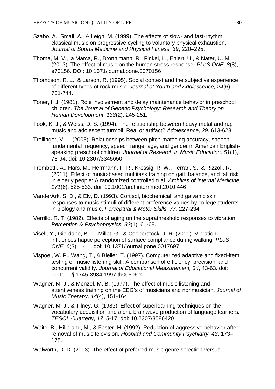- Szabo, A., Small, A., & Leigh, M. (1999). The effects of slow- and fast-rhythm classical music on progressive cycling to voluntary physical exhaustion. *Journal of Sports Medicine and Physical Fitness, 39*, 220–225.
- Thoma, M. V., la Marca, R., Brönnimann, R., Finkel, L., Ehlert, U., & Nater, U. M. (2013). The effect of music on the human stress response. *PLoS ONE, 8*(8), e70156. DOI: 10.1371/journal.pone.0070156
- Thompson, R. L., & Larson, R. (1995). Social context and the subjective experience of different types of rock music. *Journal of Youth and Adolescence, 24*(6), 731-744.
- Toner, I. J. (1981). Role involvement and delay maintenance behavior in preschool children. *The Journal of Genetic Psychology: Research and Theory on Human Development, 138*(2), 245-251.
- Took, K. J., & Weiss, D. S. (1994). The relationship between heavy metal and rap music and adolescent turmoil: Real or artifact? *Adolescence, 29*, 613-623.
- Trollinger, V. L. (2003). Relationships between pitch-matching accuracy, speech fundamental frequency, speech range, age, and gender in American Englishspeaking preschool children. *Journal of Research in Music Education, 51*(1), 78-94. doi: 10.2307/3345650
- Trombetti, A., Hars, M., Herrmann, F. R., Kressig, R. W., Ferrari, S., & Rizzoli, R. (2011). Effect of music-based multitask training on gait, balance, and fall risk in elderly people: A randomized controlled trial. *Archives of Internal Medicine, 171*(6), 525-533. doi: 10.1001/archinternmed.2010.446
- VanderArk, S. D., & Ely, D. (1993). Cortisol, biochemical, and galvanic skin responses to music stimuli of different preference values by college students in biology and music. *Perceptual & Motor Skills, 77*, 227-234.
- Verrillo, R. T. (1982). Effects of aging on the suprathreshold responses to vibration. *Perception & Psychophysics, 32*(1), 61-68.
- Visell, Y., Giordano, B. L., Millet, G., & Cooperstock, J. R. (2011). Vibration influences haptic perception of surface compliance during walking. *PLoS ONE, 6*(3), 1-11. doi: 10.1371/journal.pone.0017697
- Vispoel, W. P., Wang, T., & Bleiler, T. (1997). Computerized adaptive and fixed-item testing of music listening skill: A comparison of efficiency, precision, and concurrent validity. *Journal of Educational Measurement, 34*, 43-63. doi: 10.1111/j.1745-3984.1997.tb00506.x
- Wagner, M. J., & Menzel, M. B. (1977). The effect of music listening and attentiveness training on the EEG's of musicians and nonmusician. *Journal of Music Therapy, 14*(4), 151-164.
- Wagner, M. J., & Tilney, G. (1983). Effect of superlearning techniques on the vocabulary acquisition and alpha brainwave production of language learners. *TESOL Quarterly, 17*, 5-17. doi: 10.2307/3586420
- Waite, B., Hillbrand, M., & Foster, H. (1992). Reduction of aggressive behavior after removal of music television. *Hospital and Community Psychiatry, 43*, 173– 175.
- Walworth, D. D. (2003). The effect of preferred music genre selection versus